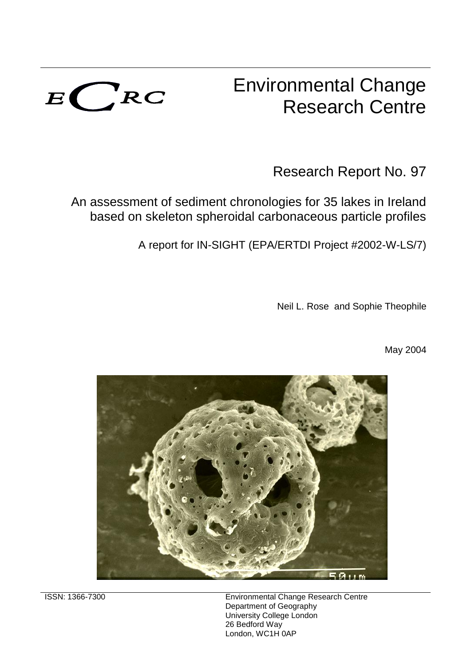

# Environmental Change Research Centre

Research Report No. 97

An assessment of sediment chronologies for 35 lakes in Ireland based on skeleton spheroidal carbonaceous particle profiles

A report for IN-SIGHT (EPA/ERTDI Project #2002-W-LS/7)

Neil L. Rose and Sophie Theophile

May 2004



ISSN: 1366-7300 Environmental Change Research Centre Department of Geography University College London 26 Bedford Way London, WC1H 0AP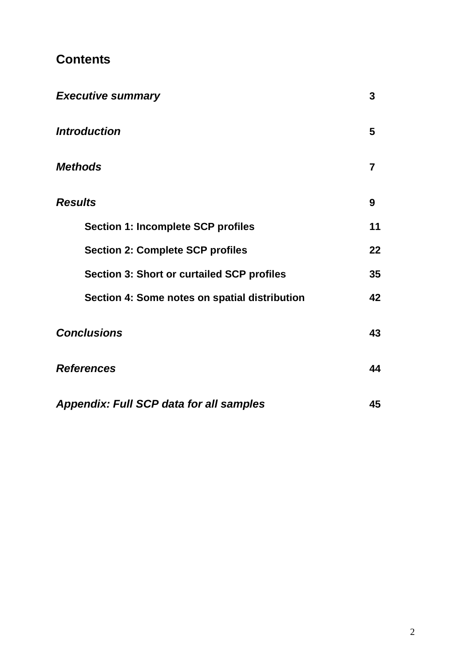## **Contents**

| <b>Executive summary</b>                          | 3              |
|---------------------------------------------------|----------------|
| <b>Introduction</b>                               | 5              |
| <b>Methods</b>                                    | $\overline{7}$ |
| <b>Results</b>                                    | 9              |
| <b>Section 1: Incomplete SCP profiles</b>         | 11             |
| <b>Section 2: Complete SCP profiles</b>           | 22             |
| <b>Section 3: Short or curtailed SCP profiles</b> | 35             |
| Section 4: Some notes on spatial distribution     | 42             |
| <b>Conclusions</b>                                | 43             |
| <b>References</b>                                 | 44             |
| <b>Appendix: Full SCP data for all samples</b>    | 45             |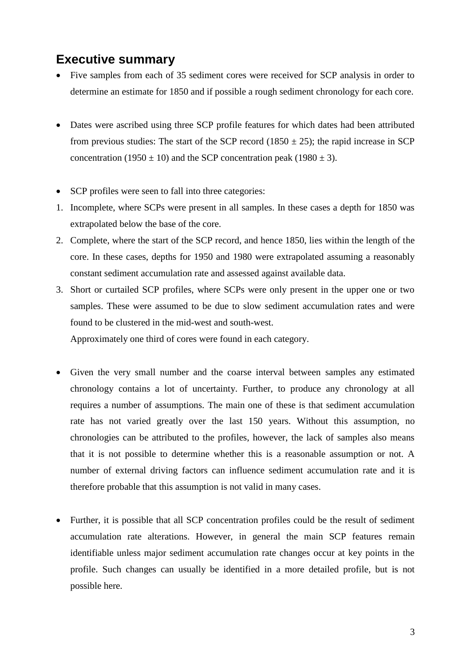### **Executive summary**

- Five samples from each of 35 sediment cores were received for SCP analysis in order to determine an estimate for 1850 and if possible a rough sediment chronology for each core.
- Dates were ascribed using three SCP profile features for which dates had been attributed from previous studies: The start of the SCP record (1850  $\pm$  25); the rapid increase in SCP concentration (1950  $\pm$  10) and the SCP concentration peak (1980  $\pm$  3).
- SCP profiles were seen to fall into three categories:
- 1. Incomplete, where SCPs were present in all samples. In these cases a depth for 1850 was extrapolated below the base of the core.
- 2. Complete, where the start of the SCP record, and hence 1850, lies within the length of the core. In these cases, depths for 1950 and 1980 were extrapolated assuming a reasonably constant sediment accumulation rate and assessed against available data.
- 3. Short or curtailed SCP profiles, where SCPs were only present in the upper one or two samples. These were assumed to be due to slow sediment accumulation rates and were found to be clustered in the mid-west and south-west.

Approximately one third of cores were found in each category.

- Given the very small number and the coarse interval between samples any estimated chronology contains a lot of uncertainty. Further, to produce any chronology at all requires a number of assumptions. The main one of these is that sediment accumulation rate has not varied greatly over the last 150 years. Without this assumption, no chronologies can be attributed to the profiles, however, the lack of samples also means that it is not possible to determine whether this is a reasonable assumption or not. A number of external driving factors can influence sediment accumulation rate and it is therefore probable that this assumption is not valid in many cases.
- Further, it is possible that all SCP concentration profiles could be the result of sediment accumulation rate alterations. However, in general the main SCP features remain identifiable unless major sediment accumulation rate changes occur at key points in the profile. Such changes can usually be identified in a more detailed profile, but is not possible here.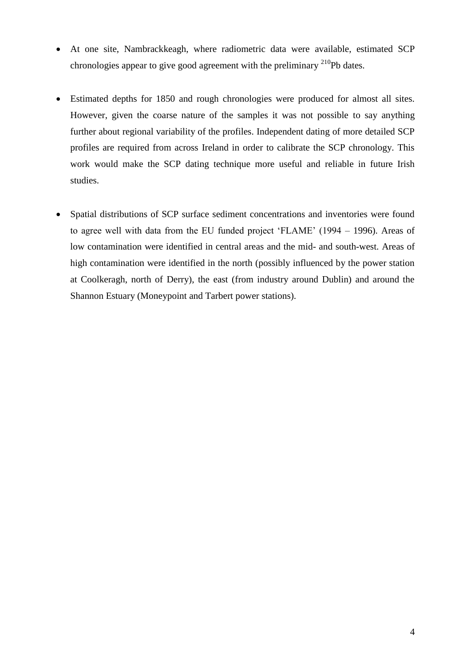- At one site, Nambrackkeagh, where radiometric data were available, estimated SCP chronologies appear to give good agreement with the preliminary  $^{210}Pb$  dates.
- Estimated depths for 1850 and rough chronologies were produced for almost all sites. However, given the coarse nature of the samples it was not possible to say anything further about regional variability of the profiles. Independent dating of more detailed SCP profiles are required from across Ireland in order to calibrate the SCP chronology. This work would make the SCP dating technique more useful and reliable in future Irish studies.
- Spatial distributions of SCP surface sediment concentrations and inventories were found to agree well with data from the EU funded project 'FLAME' (1994 – 1996). Areas of low contamination were identified in central areas and the mid- and south-west. Areas of high contamination were identified in the north (possibly influenced by the power station at Coolkeragh, north of Derry), the east (from industry around Dublin) and around the Shannon Estuary (Moneypoint and Tarbert power stations).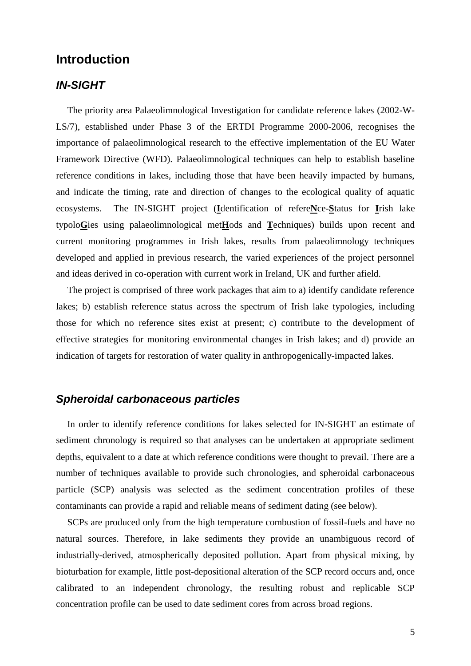### **Introduction**

#### *IN-SIGHT*

The priority area Palaeolimnological Investigation for candidate reference lakes (2002-W-LS/7), established under Phase 3 of the ERTDI Programme 2000-2006, recognises the importance of palaeolimnological research to the effective implementation of the EU Water Framework Directive (WFD). Palaeolimnological techniques can help to establish baseline reference conditions in lakes, including those that have been heavily impacted by humans, and indicate the timing, rate and direction of changes to the ecological quality of aquatic ecosystems. The IN-SIGHT project (**I**dentification of refere**N**ce-**S**tatus for **I**rish lake typolo**G**ies using palaeolimnological met**H**ods and **T**echniques) builds upon recent and current monitoring programmes in Irish lakes, results from palaeolimnology techniques developed and applied in previous research, the varied experiences of the project personnel and ideas derived in co-operation with current work in Ireland, UK and further afield.

The project is comprised of three work packages that aim to a) identify candidate reference lakes; b) establish reference status across the spectrum of Irish lake typologies, including those for which no reference sites exist at present; c) contribute to the development of effective strategies for monitoring environmental changes in Irish lakes; and d) provide an indication of targets for restoration of water quality in anthropogenically-impacted lakes.

#### *Spheroidal carbonaceous particles*

In order to identify reference conditions for lakes selected for IN-SIGHT an estimate of sediment chronology is required so that analyses can be undertaken at appropriate sediment depths, equivalent to a date at which reference conditions were thought to prevail. There are a number of techniques available to provide such chronologies, and spheroidal carbonaceous particle (SCP) analysis was selected as the sediment concentration profiles of these contaminants can provide a rapid and reliable means of sediment dating (see below).

SCPs are produced only from the high temperature combustion of fossil-fuels and have no natural sources. Therefore, in lake sediments they provide an unambiguous record of industrially-derived, atmospherically deposited pollution. Apart from physical mixing, by bioturbation for example, little post-depositional alteration of the SCP record occurs and, once calibrated to an independent chronology, the resulting robust and replicable SCP concentration profile can be used to date sediment cores from across broad regions.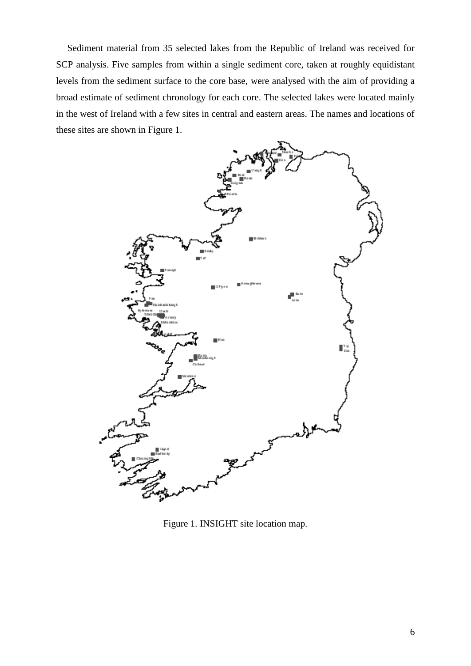Sediment material from 35 selected lakes from the Republic of Ireland was received for SCP analysis. Five samples from within a single sediment core, taken at roughly equidistant levels from the sediment surface to the core base, were analysed with the aim of providing a broad estimate of sediment chronology for each core. The selected lakes were located mainly in the west of Ireland with a few sites in central and eastern areas. The names and locations of these sites are shown in Figure 1.



Figure 1. INSIGHT site location map.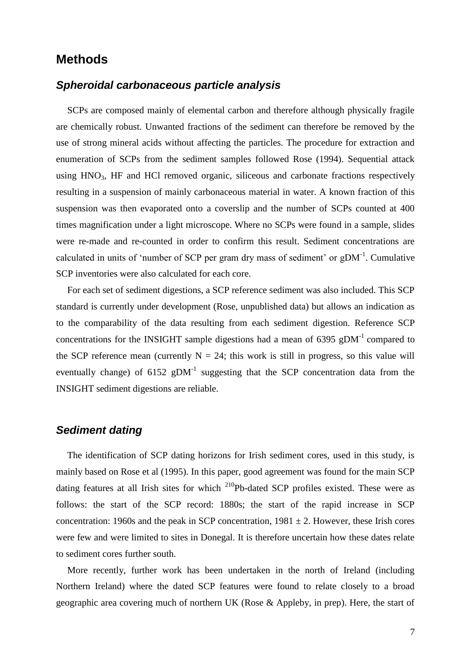### **Methods**

#### *Spheroidal carbonaceous particle analysis*

SCPs are composed mainly of elemental carbon and therefore although physically fragile are chemically robust. Unwanted fractions of the sediment can therefore be removed by the use of strong mineral acids without affecting the particles. The procedure for extraction and enumeration of SCPs from the sediment samples followed Rose (1994). Sequential attack using  $HNO<sub>3</sub>$ , HF and HCl removed organic, siliceous and carbonate fractions respectively resulting in a suspension of mainly carbonaceous material in water. A known fraction of this suspension was then evaporated onto a coverslip and the number of SCPs counted at 400 times magnification under a light microscope. Where no SCPs were found in a sample, slides were re-made and re-counted in order to confirm this result. Sediment concentrations are calculated in units of 'number of SCP per gram dry mass of sediment' or  $gDM^{-1}$ . Cumulative SCP inventories were also calculated for each core.

For each set of sediment digestions, a SCP reference sediment was also included. This SCP standard is currently under development (Rose, unpublished data) but allows an indication as to the comparability of the data resulting from each sediment digestion. Reference SCP concentrations for the INSIGHT sample digestions had a mean of  $6395$  gDM<sup>-1</sup> compared to the SCP reference mean (currently  $N = 24$ ; this work is still in progress, so this value will eventually change) of  $6152$  gDM<sup>-1</sup> suggesting that the SCP concentration data from the INSIGHT sediment digestions are reliable.

#### *Sediment dating*

The identification of SCP dating horizons for Irish sediment cores, used in this study, is mainly based on Rose et al (1995). In this paper, good agreement was found for the main SCP dating features at all Irish sites for which <sup>210</sup>Pb-dated SCP profiles existed. These were as follows: the start of the SCP record: 1880s; the start of the rapid increase in SCP concentration: 1960s and the peak in SCP concentration,  $1981 \pm 2$ . However, these Irish cores were few and were limited to sites in Donegal. It is therefore uncertain how these dates relate to sediment cores further south.

More recently, further work has been undertaken in the north of Ireland (including Northern Ireland) where the dated SCP features were found to relate closely to a broad geographic area covering much of northern UK (Rose & Appleby, in prep). Here, the start of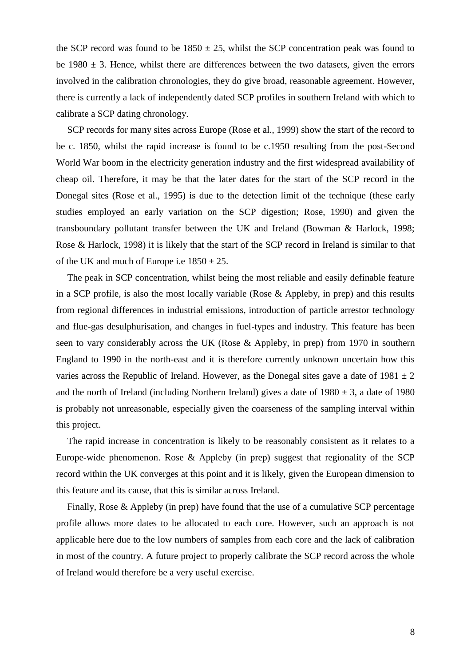the SCP record was found to be  $1850 \pm 25$ , whilst the SCP concentration peak was found to be  $1980 \pm 3$ . Hence, whilst there are differences between the two datasets, given the errors involved in the calibration chronologies, they do give broad, reasonable agreement. However, there is currently a lack of independently dated SCP profiles in southern Ireland with which to calibrate a SCP dating chronology.

SCP records for many sites across Europe (Rose et al., 1999) show the start of the record to be c. 1850, whilst the rapid increase is found to be c.1950 resulting from the post-Second World War boom in the electricity generation industry and the first widespread availability of cheap oil. Therefore, it may be that the later dates for the start of the SCP record in the Donegal sites (Rose et al., 1995) is due to the detection limit of the technique (these early studies employed an early variation on the SCP digestion; Rose, 1990) and given the transboundary pollutant transfer between the UK and Ireland (Bowman & Harlock, 1998; Rose & Harlock, 1998) it is likely that the start of the SCP record in Ireland is similar to that of the UK and much of Europe i.e  $1850 \pm 25$ .

The peak in SCP concentration, whilst being the most reliable and easily definable feature in a SCP profile, is also the most locally variable (Rose & Appleby, in prep) and this results from regional differences in industrial emissions, introduction of particle arrestor technology and flue-gas desulphurisation, and changes in fuel-types and industry. This feature has been seen to vary considerably across the UK (Rose & Appleby, in prep) from 1970 in southern England to 1990 in the north-east and it is therefore currently unknown uncertain how this varies across the Republic of Ireland. However, as the Donegal sites gave a date of  $1981 \pm 2$ and the north of Ireland (including Northern Ireland) gives a date of  $1980 \pm 3$ , a date of 1980 is probably not unreasonable, especially given the coarseness of the sampling interval within this project.

The rapid increase in concentration is likely to be reasonably consistent as it relates to a Europe-wide phenomenon. Rose & Appleby (in prep) suggest that regionality of the SCP record within the UK converges at this point and it is likely, given the European dimension to this feature and its cause, that this is similar across Ireland.

Finally, Rose & Appleby (in prep) have found that the use of a cumulative SCP percentage profile allows more dates to be allocated to each core. However, such an approach is not applicable here due to the low numbers of samples from each core and the lack of calibration in most of the country. A future project to properly calibrate the SCP record across the whole of Ireland would therefore be a very useful exercise.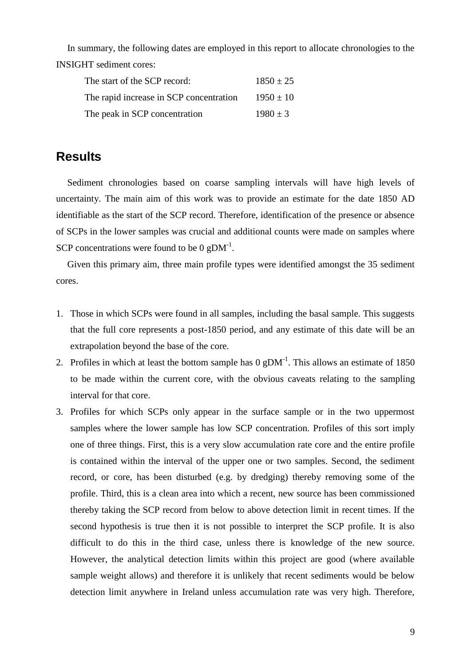In summary, the following dates are employed in this report to allocate chronologies to the INSIGHT sediment cores:

| The start of the SCP record:            | $1850 \pm 25$ |
|-----------------------------------------|---------------|
| The rapid increase in SCP concentration | $1950 \pm 10$ |
| The peak in SCP concentration           | $1980 \pm 3$  |

### **Results**

Sediment chronologies based on coarse sampling intervals will have high levels of uncertainty. The main aim of this work was to provide an estimate for the date 1850 AD identifiable as the start of the SCP record. Therefore, identification of the presence or absence of SCPs in the lower samples was crucial and additional counts were made on samples where SCP concentrations were found to be  $0 \text{ gDM}^{-1}$ .

Given this primary aim, three main profile types were identified amongst the 35 sediment cores.

- 1. Those in which SCPs were found in all samples, including the basal sample. This suggests that the full core represents a post-1850 period, and any estimate of this date will be an extrapolation beyond the base of the core.
- 2. Profiles in which at least the bottom sample has  $0 \text{ gDM}^{-1}$ . This allows an estimate of 1850 to be made within the current core, with the obvious caveats relating to the sampling interval for that core.
- 3. Profiles for which SCPs only appear in the surface sample or in the two uppermost samples where the lower sample has low SCP concentration. Profiles of this sort imply one of three things. First, this is a very slow accumulation rate core and the entire profile is contained within the interval of the upper one or two samples. Second, the sediment record, or core, has been disturbed (e.g. by dredging) thereby removing some of the profile. Third, this is a clean area into which a recent, new source has been commissioned thereby taking the SCP record from below to above detection limit in recent times. If the second hypothesis is true then it is not possible to interpret the SCP profile. It is also difficult to do this in the third case, unless there is knowledge of the new source. However, the analytical detection limits within this project are good (where available sample weight allows) and therefore it is unlikely that recent sediments would be below detection limit anywhere in Ireland unless accumulation rate was very high. Therefore,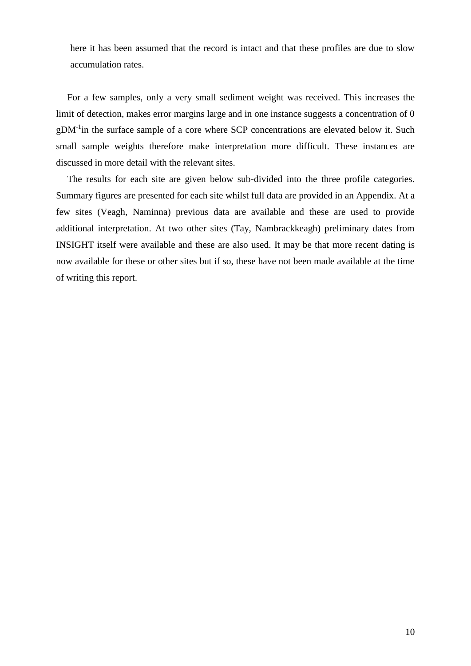here it has been assumed that the record is intact and that these profiles are due to slow accumulation rates.

For a few samples, only a very small sediment weight was received. This increases the limit of detection, makes error margins large and in one instance suggests a concentration of 0  $gDM<sup>-1</sup>$ in the surface sample of a core where SCP concentrations are elevated below it. Such small sample weights therefore make interpretation more difficult. These instances are discussed in more detail with the relevant sites.

The results for each site are given below sub-divided into the three profile categories. Summary figures are presented for each site whilst full data are provided in an Appendix. At a few sites (Veagh, Naminna) previous data are available and these are used to provide additional interpretation. At two other sites (Tay, Nambrackkeagh) preliminary dates from INSIGHT itself were available and these are also used. It may be that more recent dating is now available for these or other sites but if so, these have not been made available at the time of writing this report.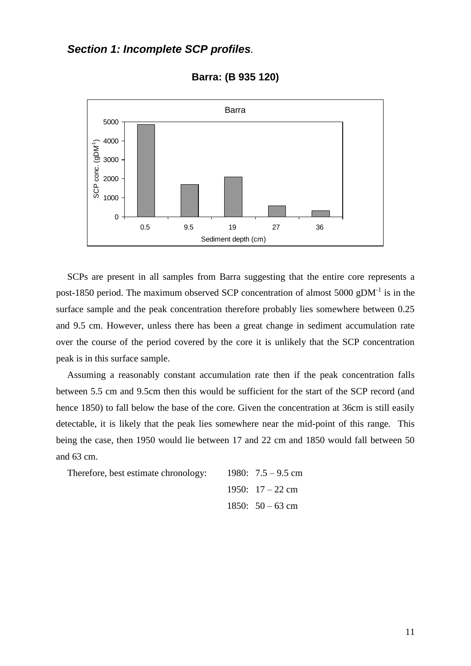### *Section 1: Incomplete SCP profiles.*



**Barra: (B 935 120)**

SCPs are present in all samples from Barra suggesting that the entire core represents a post-1850 period. The maximum observed SCP concentration of almost 5000 gDM<sup>-1</sup> is in the surface sample and the peak concentration therefore probably lies somewhere between 0.25 and 9.5 cm. However, unless there has been a great change in sediment accumulation rate over the course of the period covered by the core it is unlikely that the SCP concentration peak is in this surface sample.

Assuming a reasonably constant accumulation rate then if the peak concentration falls between 5.5 cm and 9.5cm then this would be sufficient for the start of the SCP record (and hence 1850) to fall below the base of the core. Given the concentration at 36cm is still easily detectable, it is likely that the peak lies somewhere near the mid-point of this range. This being the case, then 1950 would lie between 17 and 22 cm and 1850 would fall between 50 and 63 cm.

| Therefore, best estimate chronology: | 1980: $7.5 - 9.5$ cm |
|--------------------------------------|----------------------|
|                                      | 1950: $17 - 22$ cm   |
|                                      | 1850: $50 - 63$ cm   |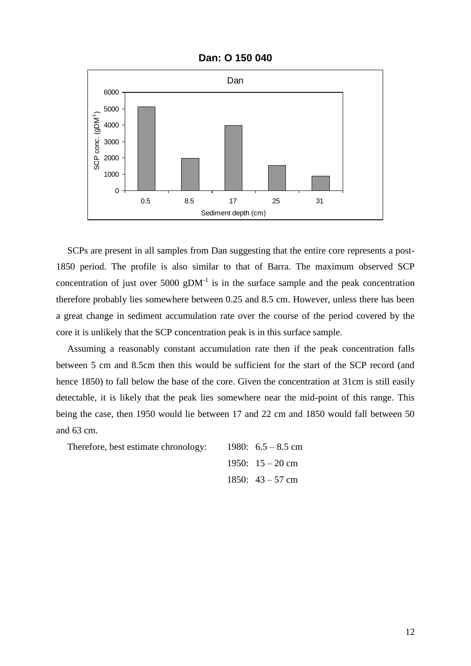

**Dan: O 150 040**

SCPs are present in all samples from Dan suggesting that the entire core represents a post-1850 period. The profile is also similar to that of Barra. The maximum observed SCP concentration of just over 5000 gDM<sup>-1</sup> is in the surface sample and the peak concentration therefore probably lies somewhere between 0.25 and 8.5 cm. However, unless there has been a great change in sediment accumulation rate over the course of the period covered by the core it is unlikely that the SCP concentration peak is in this surface sample.

Assuming a reasonably constant accumulation rate then if the peak concentration falls between 5 cm and 8.5cm then this would be sufficient for the start of the SCP record (and hence 1850) to fall below the base of the core. Given the concentration at 31cm is still easily detectable, it is likely that the peak lies somewhere near the mid-point of this range. This being the case, then 1950 would lie between 17 and 22 cm and 1850 would fall between 50 and 63 cm.

| Therefore, best estimate chronology: | 1980: $6.5 - 8.5$ cm |
|--------------------------------------|----------------------|
|                                      | 1950: $15 - 20$ cm   |
|                                      | 1850: $43 - 57$ cm   |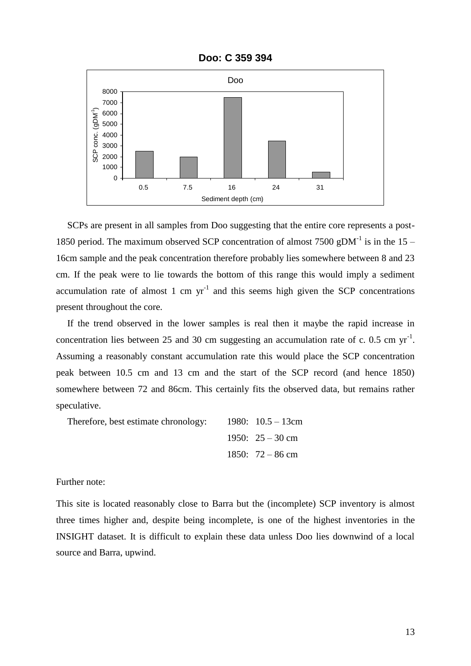

**Doo: C 359 394**

SCPs are present in all samples from Doo suggesting that the entire core represents a post-1850 period. The maximum observed SCP concentration of almost 7500 gDM<sup>-1</sup> is in the 15 – 16cm sample and the peak concentration therefore probably lies somewhere between 8 and 23 cm. If the peak were to lie towards the bottom of this range this would imply a sediment accumulation rate of almost 1 cm  $yr^{-1}$  and this seems high given the SCP concentrations present throughout the core.

If the trend observed in the lower samples is real then it maybe the rapid increase in concentration lies between 25 and 30 cm suggesting an accumulation rate of c. 0.5 cm  $yr^{-1}$ . Assuming a reasonably constant accumulation rate this would place the SCP concentration peak between 10.5 cm and 13 cm and the start of the SCP record (and hence 1850) somewhere between 72 and 86cm. This certainly fits the observed data, but remains rather speculative.

| Therefore, best estimate chronology: | 1980: $10.5 - 13$ cm |
|--------------------------------------|----------------------|
|                                      | 1950: $25 - 30$ cm   |
|                                      | 1850: $72 - 86$ cm   |

Further note:

This site is located reasonably close to Barra but the (incomplete) SCP inventory is almost three times higher and, despite being incomplete, is one of the highest inventories in the INSIGHT dataset. It is difficult to explain these data unless Doo lies downwind of a local source and Barra, upwind.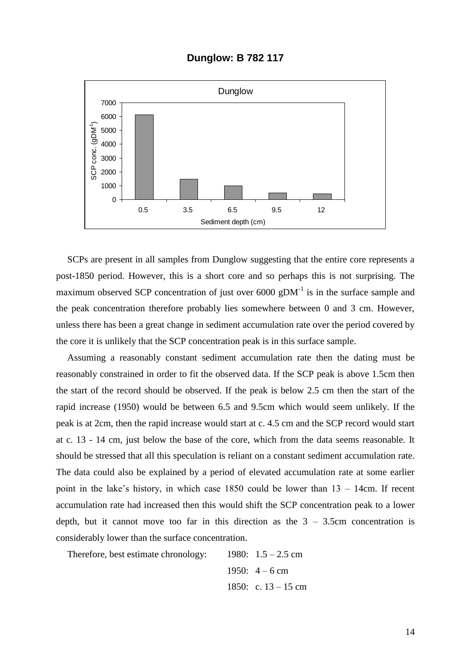**Dunglow: B 782 117**



SCPs are present in all samples from Dunglow suggesting that the entire core represents a post-1850 period. However, this is a short core and so perhaps this is not surprising. The maximum observed SCP concentration of just over  $6000$  gDM<sup>-1</sup> is in the surface sample and the peak concentration therefore probably lies somewhere between 0 and 3 cm. However, unless there has been a great change in sediment accumulation rate over the period covered by the core it is unlikely that the SCP concentration peak is in this surface sample.

Assuming a reasonably constant sediment accumulation rate then the dating must be reasonably constrained in order to fit the observed data. If the SCP peak is above 1.5cm then the start of the record should be observed. If the peak is below 2.5 cm then the start of the rapid increase (1950) would be between 6.5 and 9.5cm which would seem unlikely. If the peak is at 2cm, then the rapid increase would start at c. 4.5 cm and the SCP record would start at c. 13 - 14 cm, just below the base of the core, which from the data seems reasonable. It should be stressed that all this speculation is reliant on a constant sediment accumulation rate. The data could also be explained by a period of elevated accumulation rate at some earlier point in the lake's history, in which case 1850 could be lower than 13 – 14cm. If recent accumulation rate had increased then this would shift the SCP concentration peak to a lower depth, but it cannot move too far in this direction as the  $3 - 3.5$ cm concentration is considerably lower than the surface concentration.

Therefore, best estimate chronology:  $1980: 1.5 - 2.5$  cm 1950:  $4 - 6$  cm 1850: c.  $13 - 15$  cm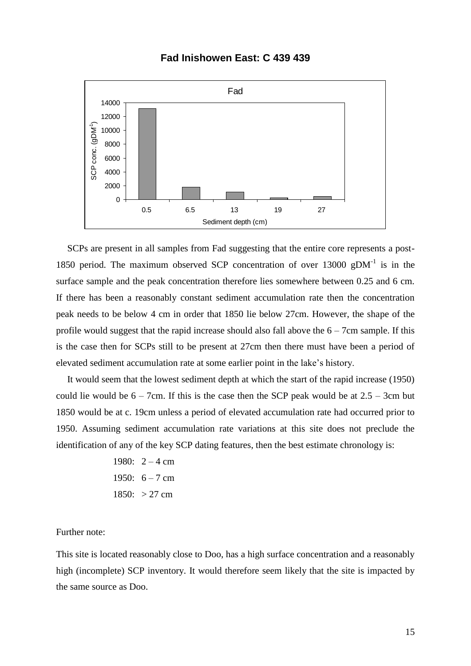#### **Fad Inishowen East: C 439 439**



SCPs are present in all samples from Fad suggesting that the entire core represents a post-1850 period. The maximum observed SCP concentration of over  $13000$  gDM<sup>-1</sup> is in the surface sample and the peak concentration therefore lies somewhere between 0.25 and 6 cm. If there has been a reasonably constant sediment accumulation rate then the concentration peak needs to be below 4 cm in order that 1850 lie below 27cm. However, the shape of the profile would suggest that the rapid increase should also fall above the  $6 - 7$ cm sample. If this is the case then for SCPs still to be present at 27cm then there must have been a period of elevated sediment accumulation rate at some earlier point in the lake's history.

It would seem that the lowest sediment depth at which the start of the rapid increase (1950) could lie would be  $6 - 7$ cm. If this is the case then the SCP peak would be at  $2.5 - 3$ cm but 1850 would be at c. 19cm unless a period of elevated accumulation rate had occurred prior to 1950. Assuming sediment accumulation rate variations at this site does not preclude the identification of any of the key SCP dating features, then the best estimate chronology is:

1980: 
$$
2 - 4
$$
 cm  
1950:  $6 - 7$  cm  
1850:  $> 27$  cm

#### Further note:

This site is located reasonably close to Doo, has a high surface concentration and a reasonably high (incomplete) SCP inventory. It would therefore seem likely that the site is impacted by the same source as Doo.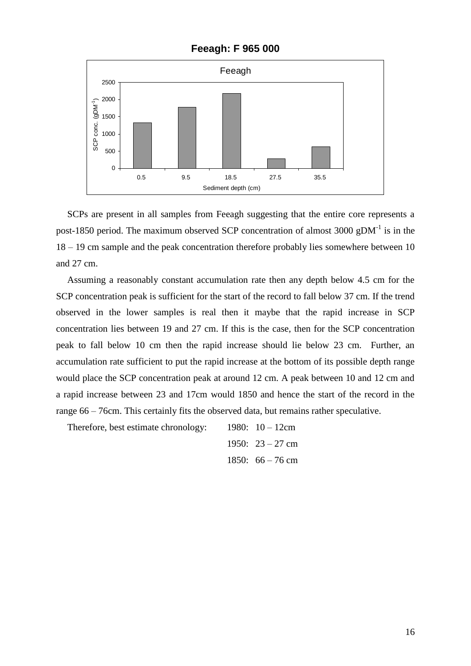

**Feeagh: F 965 000**

SCPs are present in all samples from Feeagh suggesting that the entire core represents a post-1850 period. The maximum observed SCP concentration of almost 3000 gDM<sup>-1</sup> is in the 18 – 19 cm sample and the peak concentration therefore probably lies somewhere between 10 and 27 cm.

Assuming a reasonably constant accumulation rate then any depth below 4.5 cm for the SCP concentration peak is sufficient for the start of the record to fall below 37 cm. If the trend observed in the lower samples is real then it maybe that the rapid increase in SCP concentration lies between 19 and 27 cm. If this is the case, then for the SCP concentration peak to fall below 10 cm then the rapid increase should lie below 23 cm. Further, an accumulation rate sufficient to put the rapid increase at the bottom of its possible depth range would place the SCP concentration peak at around 12 cm. A peak between 10 and 12 cm and a rapid increase between 23 and 17cm would 1850 and hence the start of the record in the range 66 – 76cm. This certainly fits the observed data, but remains rather speculative.

Therefore, best estimate chronology: 1980: 10 – 12cm 1950: 23 – 27 cm 1850: 66 – 76 cm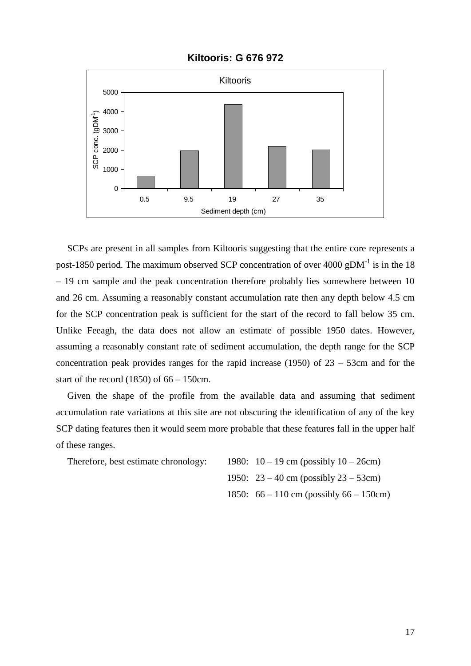

#### **Kiltooris: G 676 972**

SCPs are present in all samples from Kiltooris suggesting that the entire core represents a post-1850 period. The maximum observed SCP concentration of over 4000 gDM $^{-1}$  is in the 18 – 19 cm sample and the peak concentration therefore probably lies somewhere between 10 and 26 cm. Assuming a reasonably constant accumulation rate then any depth below 4.5 cm for the SCP concentration peak is sufficient for the start of the record to fall below 35 cm. Unlike Feeagh, the data does not allow an estimate of possible 1950 dates. However, assuming a reasonably constant rate of sediment accumulation, the depth range for the SCP concentration peak provides ranges for the rapid increase  $(1950)$  of  $23 - 53$ cm and for the start of the record  $(1850)$  of 66 – 150cm.

Given the shape of the profile from the available data and assuming that sediment accumulation rate variations at this site are not obscuring the identification of any of the key SCP dating features then it would seem more probable that these features fall in the upper half of these ranges.

Therefore, best estimate chronology:  $1980: 10 - 19$  cm (possibly  $10 - 26$ cm)

1950: 23 – 40 cm (possibly 23 – 53cm) 1850: 66 – 110 cm (possibly 66 – 150cm)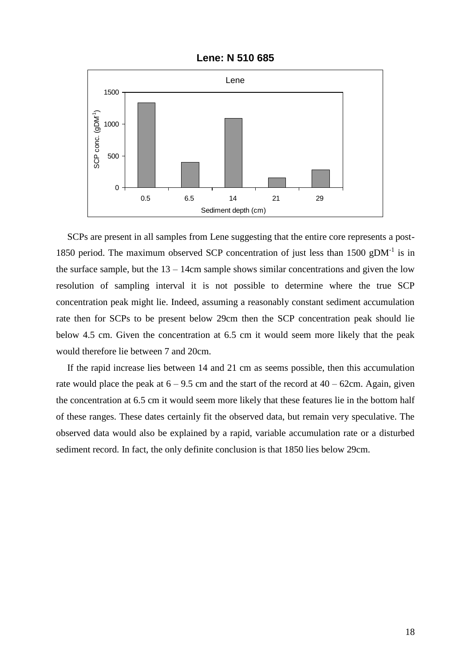

**Lene: N 510 685**

SCPs are present in all samples from Lene suggesting that the entire core represents a post-1850 period. The maximum observed SCP concentration of just less than 1500  $gDM^{-1}$  is in the surface sample, but the  $13 - 14$ cm sample shows similar concentrations and given the low resolution of sampling interval it is not possible to determine where the true SCP concentration peak might lie. Indeed, assuming a reasonably constant sediment accumulation rate then for SCPs to be present below 29cm then the SCP concentration peak should lie below 4.5 cm. Given the concentration at 6.5 cm it would seem more likely that the peak would therefore lie between 7 and 20cm.

If the rapid increase lies between 14 and 21 cm as seems possible, then this accumulation rate would place the peak at  $6 - 9.5$  cm and the start of the record at  $40 - 62$ cm. Again, given the concentration at 6.5 cm it would seem more likely that these features lie in the bottom half of these ranges. These dates certainly fit the observed data, but remain very speculative. The observed data would also be explained by a rapid, variable accumulation rate or a disturbed sediment record. In fact, the only definite conclusion is that 1850 lies below 29cm.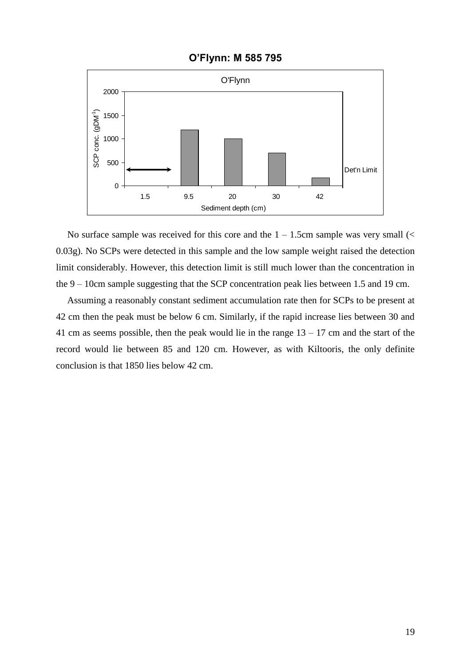

**O'Flynn: M 585 795**

No surface sample was received for this core and the  $1 - 1.5$ cm sample was very small (< 0.03g). No SCPs were detected in this sample and the low sample weight raised the detection limit considerably. However, this detection limit is still much lower than the concentration in the 9 – 10cm sample suggesting that the SCP concentration peak lies between 1.5 and 19 cm.

Assuming a reasonably constant sediment accumulation rate then for SCPs to be present at 42 cm then the peak must be below 6 cm. Similarly, if the rapid increase lies between 30 and 41 cm as seems possible, then the peak would lie in the range  $13 - 17$  cm and the start of the record would lie between 85 and 120 cm. However, as with Kiltooris, the only definite conclusion is that 1850 lies below 42 cm.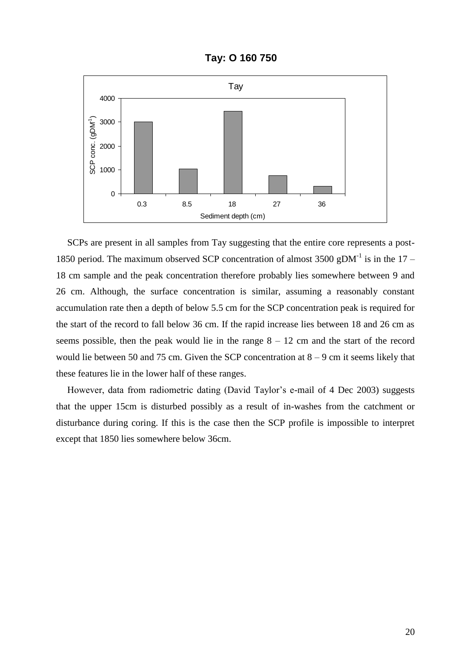**Tay: O 160 750**



SCPs are present in all samples from Tay suggesting that the entire core represents a post-1850 period. The maximum observed SCP concentration of almost 3500 gDM<sup>-1</sup> is in the 17 – 18 cm sample and the peak concentration therefore probably lies somewhere between 9 and 26 cm. Although, the surface concentration is similar, assuming a reasonably constant accumulation rate then a depth of below 5.5 cm for the SCP concentration peak is required for the start of the record to fall below 36 cm. If the rapid increase lies between 18 and 26 cm as seems possible, then the peak would lie in the range  $8 - 12$  cm and the start of the record would lie between 50 and 75 cm. Given the SCP concentration at  $8 - 9$  cm it seems likely that these features lie in the lower half of these ranges.

However, data from radiometric dating (David Taylor's e-mail of 4 Dec 2003) suggests that the upper 15cm is disturbed possibly as a result of in-washes from the catchment or disturbance during coring. If this is the case then the SCP profile is impossible to interpret except that 1850 lies somewhere below 36cm.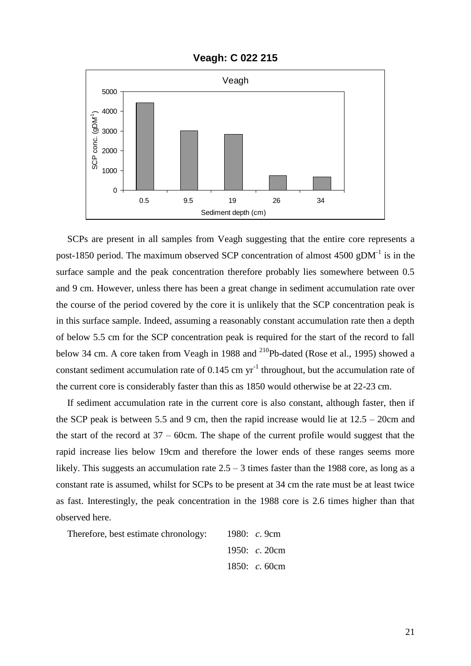

**Veagh: C 022 215**

SCPs are present in all samples from Veagh suggesting that the entire core represents a post-1850 period. The maximum observed SCP concentration of almost  $4500$  gDM<sup>-1</sup> is in the surface sample and the peak concentration therefore probably lies somewhere between 0.5 and 9 cm. However, unless there has been a great change in sediment accumulation rate over the course of the period covered by the core it is unlikely that the SCP concentration peak is in this surface sample. Indeed, assuming a reasonably constant accumulation rate then a depth of below 5.5 cm for the SCP concentration peak is required for the start of the record to fall below 34 cm. A core taken from Veagh in 1988 and <sup>210</sup>Pb-dated (Rose et al., 1995) showed a constant sediment accumulation rate of  $0.145$  cm yr<sup>-1</sup> throughout, but the accumulation rate of the current core is considerably faster than this as 1850 would otherwise be at 22-23 cm.

If sediment accumulation rate in the current core is also constant, although faster, then if the SCP peak is between 5.5 and 9 cm, then the rapid increase would lie at  $12.5 - 20$ cm and the start of the record at  $37 - 60$ cm. The shape of the current profile would suggest that the rapid increase lies below 19cm and therefore the lower ends of these ranges seems more likely. This suggests an accumulation rate  $2.5 - 3$  times faster than the 1988 core, as long as a constant rate is assumed, whilst for SCPs to be present at 34 cm the rate must be at least twice as fast. Interestingly, the peak concentration in the 1988 core is 2.6 times higher than that observed here.

Therefore, best estimate chronology:

\n1980: 
$$
c
$$
. 9cm

\n1950:  $c$ . 20cm

\n1850:  $c$ . 60cm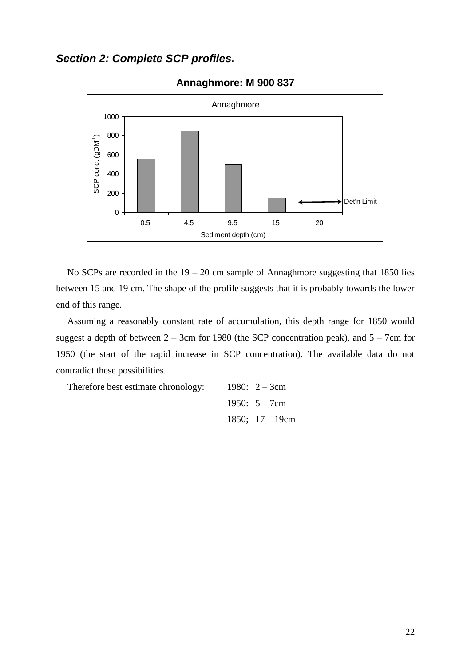### *Section 2: Complete SCP profiles.*



#### **Annaghmore: M 900 837**

No SCPs are recorded in the  $19 - 20$  cm sample of Annaghmore suggesting that 1850 lies between 15 and 19 cm. The shape of the profile suggests that it is probably towards the lower end of this range.

Assuming a reasonably constant rate of accumulation, this depth range for 1850 would suggest a depth of between  $2 - 3$ cm for 1980 (the SCP concentration peak), and  $5 - 7$ cm for 1950 (the start of the rapid increase in SCP concentration). The available data do not contradict these possibilities.

Therefore best estimate chronology:

\n
$$
1980: 2-3 \text{cm}
$$

\n $1950: 5-7 \text{cm}$ 

\n $1850: 17-19 \text{cm}$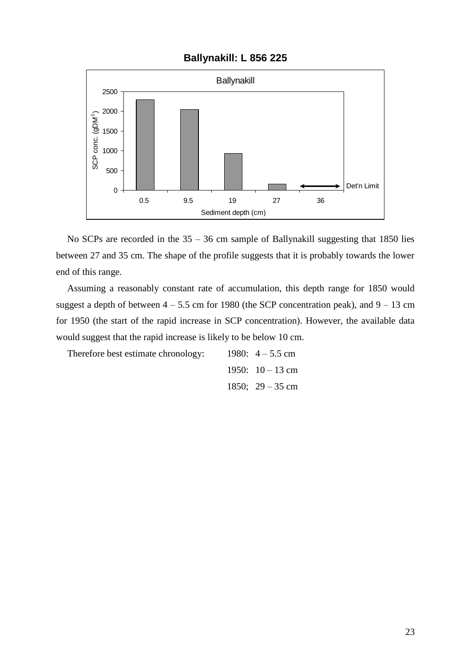#### **Ballynakill: L 856 225**



No SCPs are recorded in the  $35 - 36$  cm sample of Ballynakill suggesting that 1850 lies between 27 and 35 cm. The shape of the profile suggests that it is probably towards the lower end of this range.

Assuming a reasonably constant rate of accumulation, this depth range for 1850 would suggest a depth of between  $4 - 5.5$  cm for 1980 (the SCP concentration peak), and  $9 - 13$  cm for 1950 (the start of the rapid increase in SCP concentration). However, the available data would suggest that the rapid increase is likely to be below 10 cm.

| Therefore best estimate chronology: | 1980: $4 - 5.5$ cm |
|-------------------------------------|--------------------|
|                                     | 1950: $10-13$ cm   |
|                                     | 1850; $29 - 35$ cm |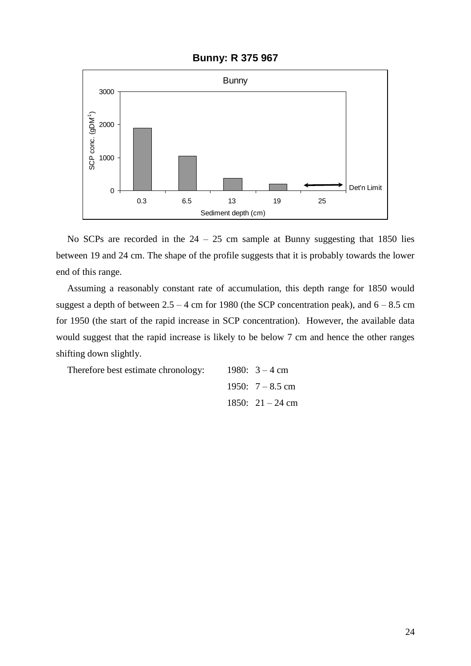

#### **Bunny: R 375 967**

No SCPs are recorded in the  $24 - 25$  cm sample at Bunny suggesting that 1850 lies between 19 and 24 cm. The shape of the profile suggests that it is probably towards the lower end of this range.

Assuming a reasonably constant rate of accumulation, this depth range for 1850 would suggest a depth of between  $2.5 - 4$  cm for 1980 (the SCP concentration peak), and  $6 - 8.5$  cm for 1950 (the start of the rapid increase in SCP concentration). However, the available data would suggest that the rapid increase is likely to be below 7 cm and hence the other ranges shifting down slightly.

| Therefore best estimate chronology: | 1980: $3 - 4$ cm   |
|-------------------------------------|--------------------|
|                                     | 1950: $7 - 8.5$ cm |
|                                     | 1850: $21 - 24$ cm |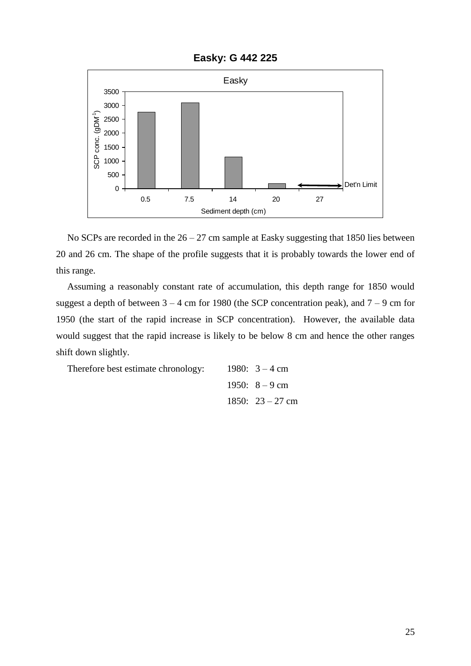

**Easky: G 442 225**

No SCPs are recorded in the  $26 - 27$  cm sample at Easky suggesting that 1850 lies between 20 and 26 cm. The shape of the profile suggests that it is probably towards the lower end of this range.

Assuming a reasonably constant rate of accumulation, this depth range for 1850 would suggest a depth of between  $3 - 4$  cm for 1980 (the SCP concentration peak), and  $7 - 9$  cm for 1950 (the start of the rapid increase in SCP concentration). However, the available data would suggest that the rapid increase is likely to be below 8 cm and hence the other ranges shift down slightly.

| Therefore best estimate chronology: | 1980: $3 - 4$ cm   |
|-------------------------------------|--------------------|
|                                     | 1950: $8-9$ cm     |
|                                     | 1850: $23 - 27$ cm |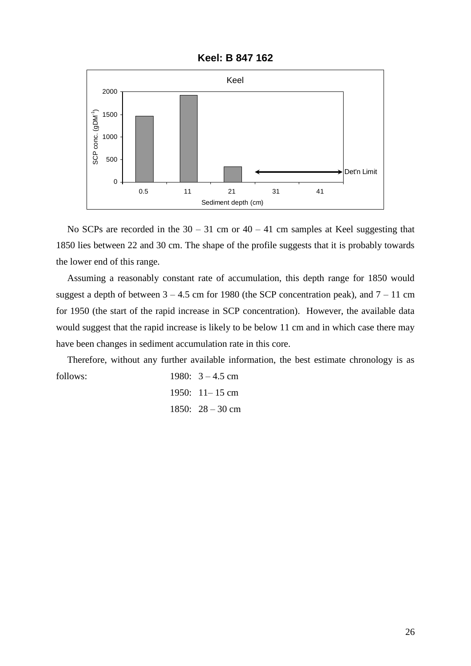

**Keel: B 847 162**

No SCPs are recorded in the  $30 - 31$  cm or  $40 - 41$  cm samples at Keel suggesting that 1850 lies between 22 and 30 cm. The shape of the profile suggests that it is probably towards the lower end of this range.

Assuming a reasonably constant rate of accumulation, this depth range for 1850 would suggest a depth of between  $3 - 4.5$  cm for 1980 (the SCP concentration peak), and  $7 - 11$  cm for 1950 (the start of the rapid increase in SCP concentration). However, the available data would suggest that the rapid increase is likely to be below 11 cm and in which case there may have been changes in sediment accumulation rate in this core.

Therefore, without any further available information, the best estimate chronology is as follows: 1980: 3 – 4.5 cm

1950: 11– 15 cm 1850: 28 – 30 cm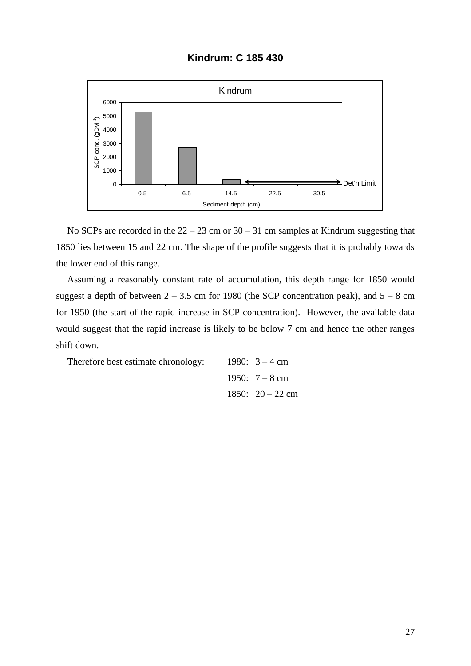#### **Kindrum: C 185 430**



No SCPs are recorded in the  $22 - 23$  cm or  $30 - 31$  cm samples at Kindrum suggesting that 1850 lies between 15 and 22 cm. The shape of the profile suggests that it is probably towards the lower end of this range.

Assuming a reasonably constant rate of accumulation, this depth range for 1850 would suggest a depth of between  $2 - 3.5$  cm for 1980 (the SCP concentration peak), and  $5 - 8$  cm for 1950 (the start of the rapid increase in SCP concentration). However, the available data would suggest that the rapid increase is likely to be below 7 cm and hence the other ranges shift down.

| Therefore best estimate chronology: | 1980: $3 - 4$ cm   |
|-------------------------------------|--------------------|
|                                     | 1950: $7 - 8$ cm   |
|                                     | 1850: $20 - 22$ cm |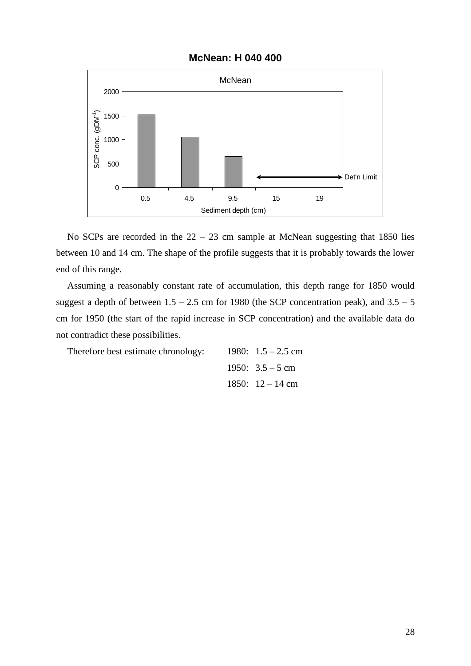#### **McNean: H 040 400**



No SCPs are recorded in the  $22 - 23$  cm sample at McNean suggesting that 1850 lies between 10 and 14 cm. The shape of the profile suggests that it is probably towards the lower end of this range.

Assuming a reasonably constant rate of accumulation, this depth range for 1850 would suggest a depth of between  $1.5 - 2.5$  cm for 1980 (the SCP concentration peak), and  $3.5 - 5$ cm for 1950 (the start of the rapid increase in SCP concentration) and the available data do not contradict these possibilities.

Therefore best estimate chronology:

1980: 
$$
1.5 - 2.5
$$
 cm  
1950:  $3.5 - 5$  cm  
1850:  $12 - 14$  cm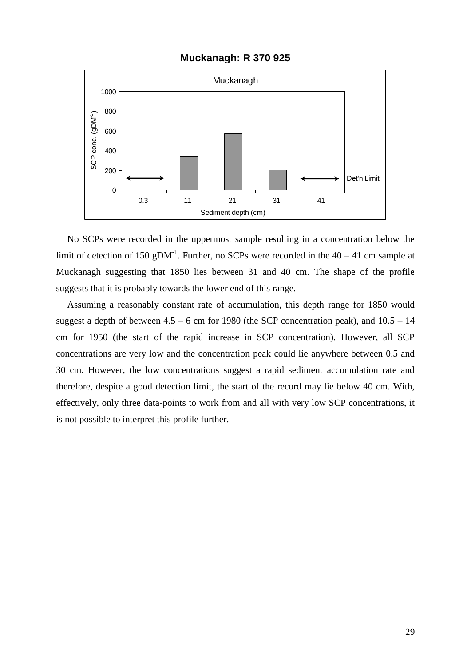

#### **Muckanagh: R 370 925**

No SCPs were recorded in the uppermost sample resulting in a concentration below the limit of detection of 150 gDM<sup>-1</sup>. Further, no SCPs were recorded in the  $40 - 41$  cm sample at Muckanagh suggesting that 1850 lies between 31 and 40 cm. The shape of the profile suggests that it is probably towards the lower end of this range.

Assuming a reasonably constant rate of accumulation, this depth range for 1850 would suggest a depth of between  $4.5 - 6$  cm for 1980 (the SCP concentration peak), and  $10.5 - 14$ cm for 1950 (the start of the rapid increase in SCP concentration). However, all SCP concentrations are very low and the concentration peak could lie anywhere between 0.5 and 30 cm. However, the low concentrations suggest a rapid sediment accumulation rate and therefore, despite a good detection limit, the start of the record may lie below 40 cm. With, effectively, only three data-points to work from and all with very low SCP concentrations, it is not possible to interpret this profile further.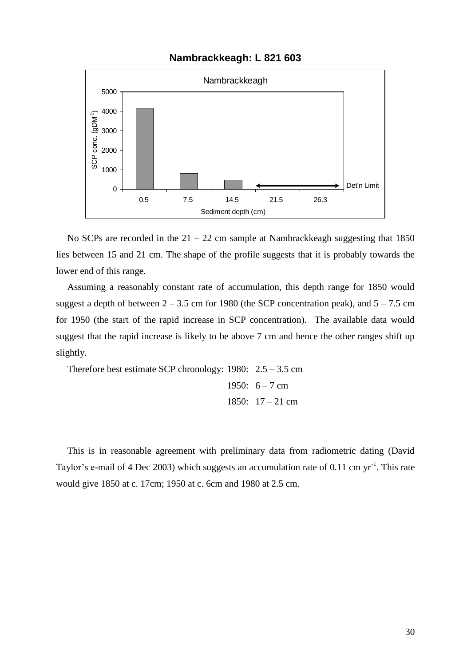



No SCPs are recorded in the  $21 - 22$  cm sample at Nambrackkeagh suggesting that 1850 lies between 15 and 21 cm. The shape of the profile suggests that it is probably towards the lower end of this range.

Assuming a reasonably constant rate of accumulation, this depth range for 1850 would suggest a depth of between  $2 - 3.5$  cm for 1980 (the SCP concentration peak), and  $5 - 7.5$  cm for 1950 (the start of the rapid increase in SCP concentration). The available data would suggest that the rapid increase is likely to be above 7 cm and hence the other ranges shift up slightly.

Therefore best estimate SCP chronology: 1980: 2.5 – 3.5 cm 1950:  $6 - 7$  cm 1850: 17 – 21 cm

This is in reasonable agreement with preliminary data from radiometric dating (David Taylor's e-mail of 4 Dec 2003) which suggests an accumulation rate of 0.11 cm  $yr^{-1}$ . This rate would give 1850 at c. 17cm; 1950 at c. 6cm and 1980 at 2.5 cm.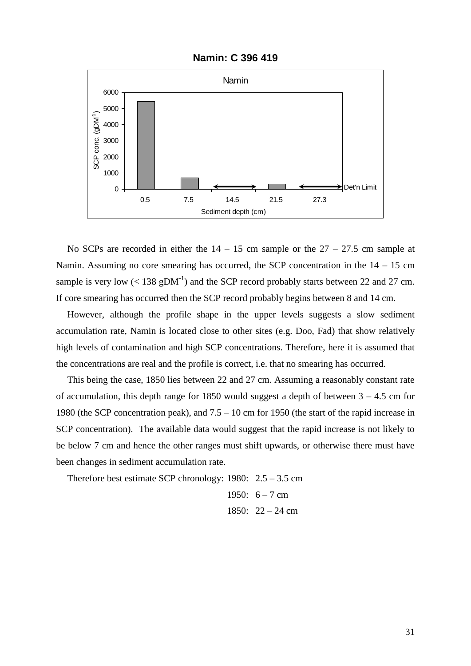

**Namin: C 396 419**

No SCPs are recorded in either the  $14 - 15$  cm sample or the  $27 - 27.5$  cm sample at Namin. Assuming no core smearing has occurred, the SCP concentration in the  $14 - 15$  cm sample is very low  $(< 138 \text{ gDM}^{-1})$  and the SCP record probably starts between 22 and 27 cm. If core smearing has occurred then the SCP record probably begins between 8 and 14 cm.

However, although the profile shape in the upper levels suggests a slow sediment accumulation rate, Namin is located close to other sites (e.g. Doo, Fad) that show relatively high levels of contamination and high SCP concentrations. Therefore, here it is assumed that the concentrations are real and the profile is correct, i.e. that no smearing has occurred.

This being the case, 1850 lies between 22 and 27 cm. Assuming a reasonably constant rate of accumulation, this depth range for 1850 would suggest a depth of between  $3 - 4.5$  cm for 1980 (the SCP concentration peak), and 7.5 – 10 cm for 1950 (the start of the rapid increase in SCP concentration). The available data would suggest that the rapid increase is not likely to be below 7 cm and hence the other ranges must shift upwards, or otherwise there must have been changes in sediment accumulation rate.

Therefore best estimate SCP chronology:  $1980: 2.5 - 3.5$  cm

1950: 
$$
6 - 7
$$
 cm  
1850:  $22 - 24$  cm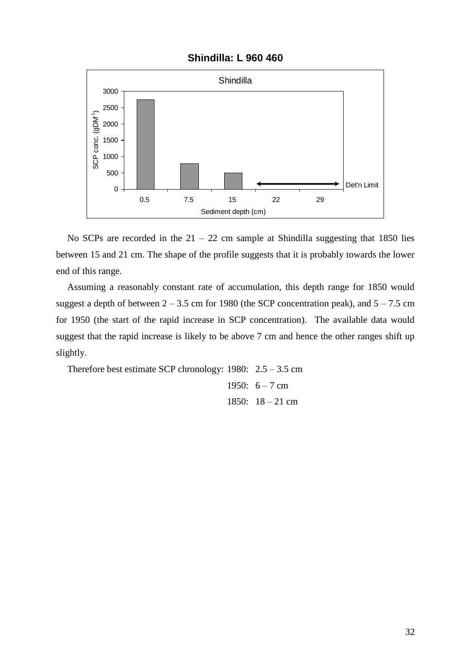



No SCPs are recorded in the  $21 - 22$  cm sample at Shindilla suggesting that 1850 lies between 15 and 21 cm. The shape of the profile suggests that it is probably towards the lower end of this range.

Assuming a reasonably constant rate of accumulation, this depth range for 1850 would suggest a depth of between  $2 - 3.5$  cm for 1980 (the SCP concentration peak), and  $5 - 7.5$  cm for 1950 (the start of the rapid increase in SCP concentration). The available data would suggest that the rapid increase is likely to be above 7 cm and hence the other ranges shift up slightly.

Therefore best estimate SCP chronology: 1980: 2.5 – 3.5 cm 1950:  $6 - 7$  cm 1850: 18 – 21 cm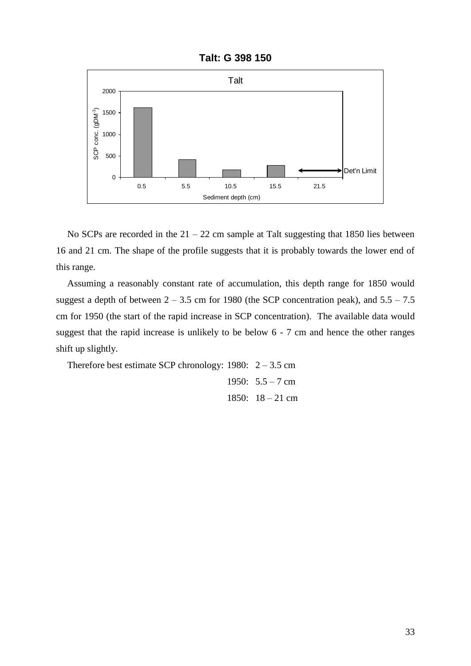

**Talt: G 398 150**

No SCPs are recorded in the  $21 - 22$  cm sample at Talt suggesting that 1850 lies between 16 and 21 cm. The shape of the profile suggests that it is probably towards the lower end of this range.

Assuming a reasonably constant rate of accumulation, this depth range for 1850 would suggest a depth of between  $2 - 3.5$  cm for 1980 (the SCP concentration peak), and  $5.5 - 7.5$ cm for 1950 (the start of the rapid increase in SCP concentration). The available data would suggest that the rapid increase is unlikely to be below 6 - 7 cm and hence the other ranges shift up slightly.

```
Therefore best estimate SCP chronology: 1980: 2 - 3.5 cm
                          1950: 5.5 - 7 cm
                          1850: 18 – 21 cm
```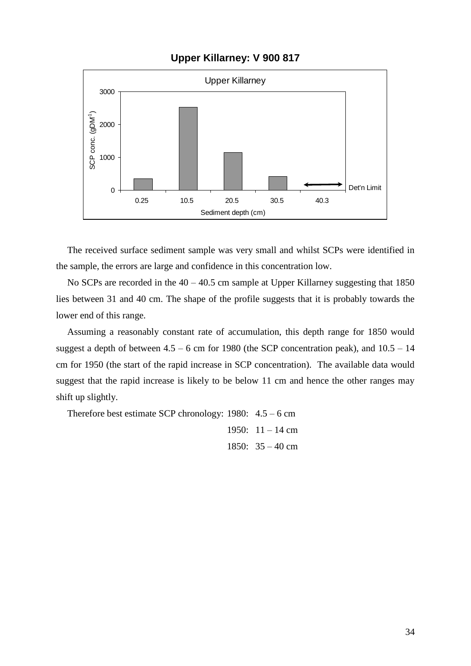**Upper Killarney: V 900 817**



The received surface sediment sample was very small and whilst SCPs were identified in the sample, the errors are large and confidence in this concentration low.

No SCPs are recorded in the  $40 - 40.5$  cm sample at Upper Killarney suggesting that 1850 lies between 31 and 40 cm. The shape of the profile suggests that it is probably towards the lower end of this range.

Assuming a reasonably constant rate of accumulation, this depth range for 1850 would suggest a depth of between  $4.5 - 6$  cm for 1980 (the SCP concentration peak), and  $10.5 - 14$ cm for 1950 (the start of the rapid increase in SCP concentration). The available data would suggest that the rapid increase is likely to be below 11 cm and hence the other ranges may shift up slightly.

Therefore best estimate SCP chronology: 1980: 4.5 – 6 cm 1950:  $11 - 14$  cm 1850:  $35 - 40$  cm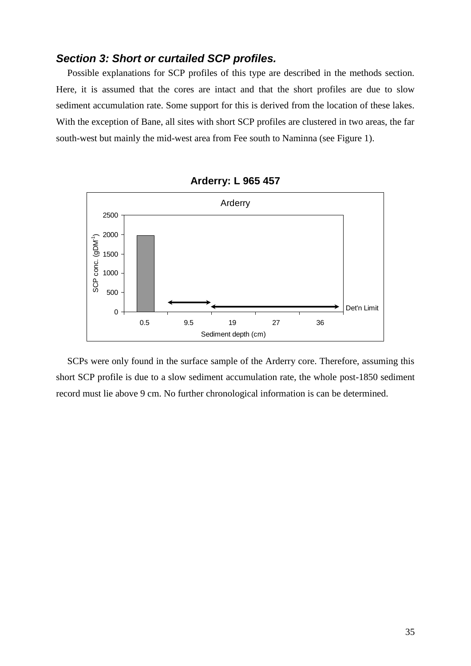### *Section 3: Short or curtailed SCP profiles.*

Possible explanations for SCP profiles of this type are described in the methods section. Here, it is assumed that the cores are intact and that the short profiles are due to slow sediment accumulation rate. Some support for this is derived from the location of these lakes. With the exception of Bane, all sites with short SCP profiles are clustered in two areas, the far south-west but mainly the mid-west area from Fee south to Naminna (see Figure 1).



**Arderry: L 965 457**

SCPs were only found in the surface sample of the Arderry core. Therefore, assuming this short SCP profile is due to a slow sediment accumulation rate, the whole post-1850 sediment record must lie above 9 cm. No further chronological information is can be determined.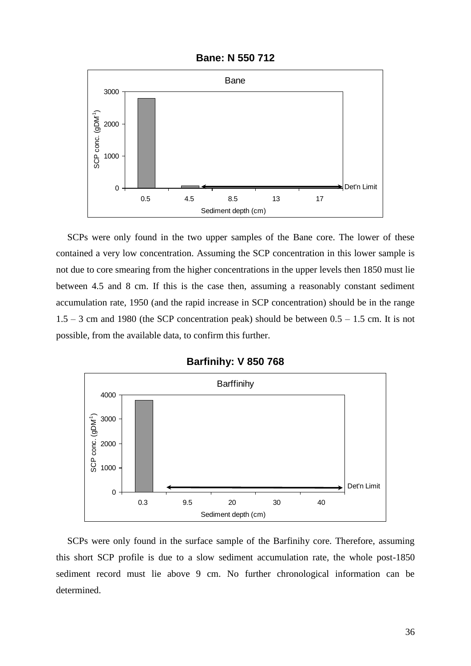

**Bane: N 550 712**

SCPs were only found in the two upper samples of the Bane core. The lower of these contained a very low concentration. Assuming the SCP concentration in this lower sample is not due to core smearing from the higher concentrations in the upper levels then 1850 must lie between 4.5 and 8 cm. If this is the case then, assuming a reasonably constant sediment accumulation rate, 1950 (and the rapid increase in SCP concentration) should be in the range  $1.5 - 3$  cm and 1980 (the SCP concentration peak) should be between  $0.5 - 1.5$  cm. It is not possible, from the available data, to confirm this further.



#### **Barfinihy: V 850 768**

SCPs were only found in the surface sample of the Barfinihy core. Therefore, assuming this short SCP profile is due to a slow sediment accumulation rate, the whole post-1850 sediment record must lie above 9 cm. No further chronological information can be determined.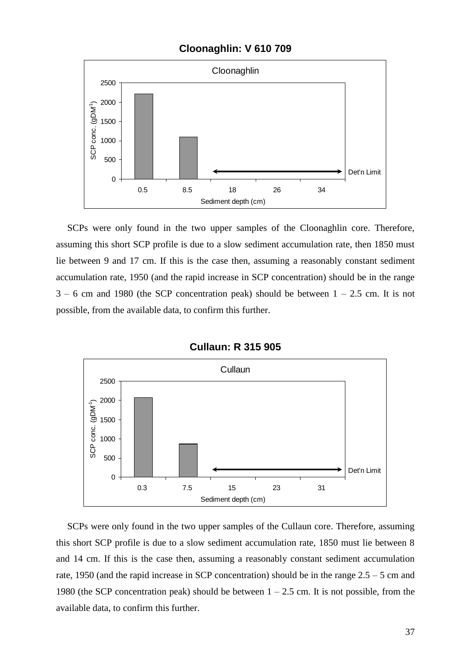#### **Cloonaghlin: V 610 709**



SCPs were only found in the two upper samples of the Cloonaghlin core. Therefore, assuming this short SCP profile is due to a slow sediment accumulation rate, then 1850 must lie between 9 and 17 cm. If this is the case then, assuming a reasonably constant sediment accumulation rate, 1950 (and the rapid increase in SCP concentration) should be in the range  $3 - 6$  cm and 1980 (the SCP concentration peak) should be between  $1 - 2.5$  cm. It is not possible, from the available data, to confirm this further.



**Cullaun: R 315 905**

SCPs were only found in the two upper samples of the Cullaun core. Therefore, assuming this short SCP profile is due to a slow sediment accumulation rate, 1850 must lie between 8 and 14 cm. If this is the case then, assuming a reasonably constant sediment accumulation rate, 1950 (and the rapid increase in SCP concentration) should be in the range 2.5 – 5 cm and 1980 (the SCP concentration peak) should be between  $1 - 2.5$  cm. It is not possible, from the available data, to confirm this further.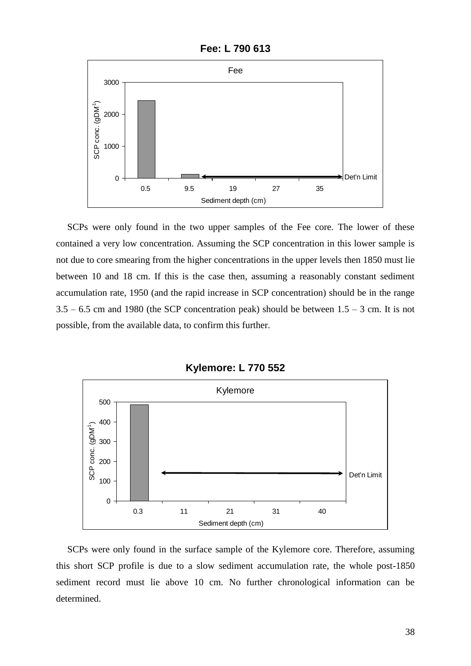**Fee: L 790 613**



SCPs were only found in the two upper samples of the Fee core. The lower of these contained a very low concentration. Assuming the SCP concentration in this lower sample is not due to core smearing from the higher concentrations in the upper levels then 1850 must lie between 10 and 18 cm. If this is the case then, assuming a reasonably constant sediment accumulation rate, 1950 (and the rapid increase in SCP concentration) should be in the range  $3.5 - 6.5$  cm and 1980 (the SCP concentration peak) should be between  $1.5 - 3$  cm. It is not possible, from the available data, to confirm this further.



**Kylemore: L 770 552**

SCPs were only found in the surface sample of the Kylemore core. Therefore, assuming this short SCP profile is due to a slow sediment accumulation rate, the whole post-1850 sediment record must lie above 10 cm. No further chronological information can be determined.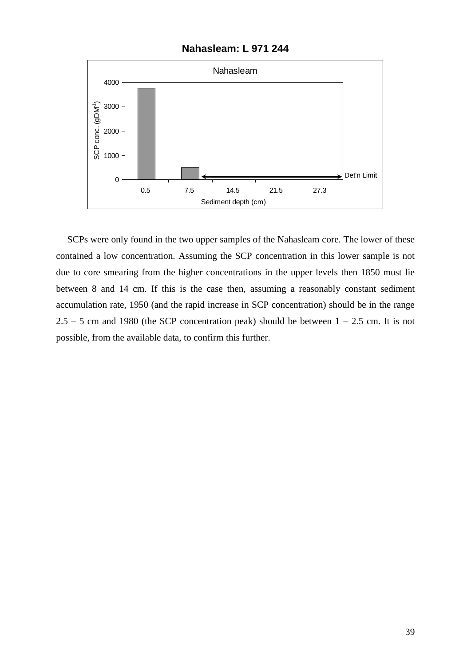**Nahasleam: L 971 244**



SCPs were only found in the two upper samples of the Nahasleam core. The lower of these contained a low concentration. Assuming the SCP concentration in this lower sample is not due to core smearing from the higher concentrations in the upper levels then 1850 must lie between 8 and 14 cm. If this is the case then, assuming a reasonably constant sediment accumulation rate, 1950 (and the rapid increase in SCP concentration) should be in the range  $2.5 - 5$  cm and 1980 (the SCP concentration peak) should be between  $1 - 2.5$  cm. It is not possible, from the available data, to confirm this further.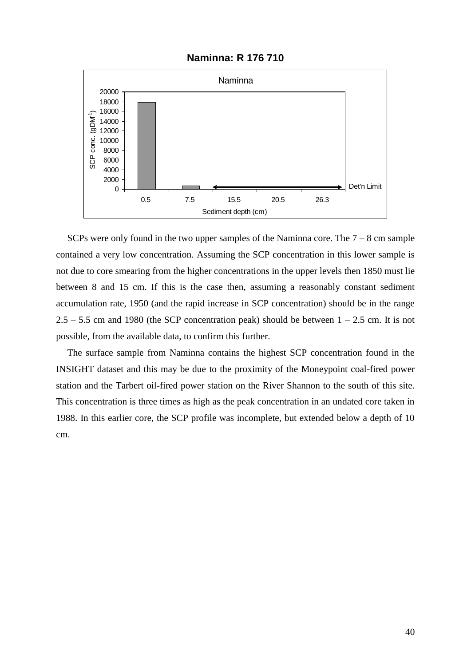#### **Naminna: R 176 710**



SCPs were only found in the two upper samples of the Naminna core. The  $7 - 8$  cm sample contained a very low concentration. Assuming the SCP concentration in this lower sample is not due to core smearing from the higher concentrations in the upper levels then 1850 must lie between 8 and 15 cm. If this is the case then, assuming a reasonably constant sediment accumulation rate, 1950 (and the rapid increase in SCP concentration) should be in the range  $2.5 - 5.5$  cm and 1980 (the SCP concentration peak) should be between  $1 - 2.5$  cm. It is not possible, from the available data, to confirm this further.

The surface sample from Naminna contains the highest SCP concentration found in the INSIGHT dataset and this may be due to the proximity of the Moneypoint coal-fired power station and the Tarbert oil-fired power station on the River Shannon to the south of this site. This concentration is three times as high as the peak concentration in an undated core taken in 1988. In this earlier core, the SCP profile was incomplete, but extended below a depth of 10 cm.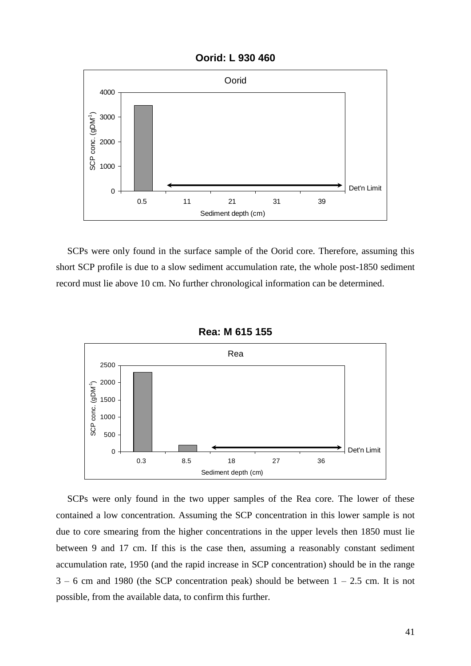



SCPs were only found in the surface sample of the Oorid core. Therefore, assuming this short SCP profile is due to a slow sediment accumulation rate, the whole post-1850 sediment record must lie above 10 cm. No further chronological information can be determined.



**Rea: M 615 155**

SCPs were only found in the two upper samples of the Rea core. The lower of these contained a low concentration. Assuming the SCP concentration in this lower sample is not due to core smearing from the higher concentrations in the upper levels then 1850 must lie between 9 and 17 cm. If this is the case then, assuming a reasonably constant sediment accumulation rate, 1950 (and the rapid increase in SCP concentration) should be in the range  $3 - 6$  cm and 1980 (the SCP concentration peak) should be between  $1 - 2.5$  cm. It is not possible, from the available data, to confirm this further.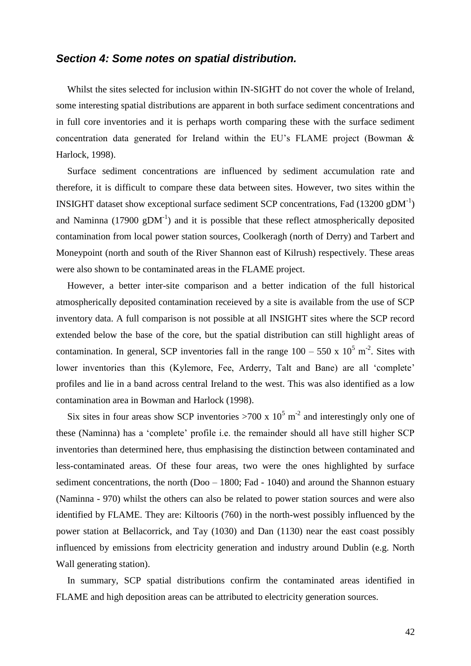#### *Section 4: Some notes on spatial distribution.*

Whilst the sites selected for inclusion within IN-SIGHT do not cover the whole of Ireland, some interesting spatial distributions are apparent in both surface sediment concentrations and in full core inventories and it is perhaps worth comparing these with the surface sediment concentration data generated for Ireland within the EU's FLAME project (Bowman & Harlock, 1998).

Surface sediment concentrations are influenced by sediment accumulation rate and therefore, it is difficult to compare these data between sites. However, two sites within the INSIGHT dataset show exceptional surface sediment SCP concentrations, Fad  $(13200 \text{ gDM}^{-1})$ and Naminna (17900  $gDM^{-1}$ ) and it is possible that these reflect atmospherically deposited contamination from local power station sources, Coolkeragh (north of Derry) and Tarbert and Moneypoint (north and south of the River Shannon east of Kilrush) respectively. These areas were also shown to be contaminated areas in the FLAME project.

However, a better inter-site comparison and a better indication of the full historical atmospherically deposited contamination receieved by a site is available from the use of SCP inventory data. A full comparison is not possible at all INSIGHT sites where the SCP record extended below the base of the core, but the spatial distribution can still highlight areas of contamination. In general, SCP inventories fall in the range  $100 - 550 \times 10^5 \text{ m}^2$ . Sites with lower inventories than this (Kylemore, Fee, Arderry, Talt and Bane) are all 'complete' profiles and lie in a band across central Ireland to the west. This was also identified as a low contamination area in Bowman and Harlock (1998).

Six sites in four areas show SCP inventories >700 x  $10^5$  m<sup>-2</sup> and interestingly only one of these (Naminna) has a 'complete' profile i.e. the remainder should all have still higher SCP inventories than determined here, thus emphasising the distinction between contaminated and less-contaminated areas. Of these four areas, two were the ones highlighted by surface sediment concentrations, the north (Doo – 1800; Fad - 1040) and around the Shannon estuary (Naminna - 970) whilst the others can also be related to power station sources and were also identified by FLAME. They are: Kiltooris (760) in the north-west possibly influenced by the power station at Bellacorrick, and Tay (1030) and Dan (1130) near the east coast possibly influenced by emissions from electricity generation and industry around Dublin (e.g. North Wall generating station).

In summary, SCP spatial distributions confirm the contaminated areas identified in FLAME and high deposition areas can be attributed to electricity generation sources.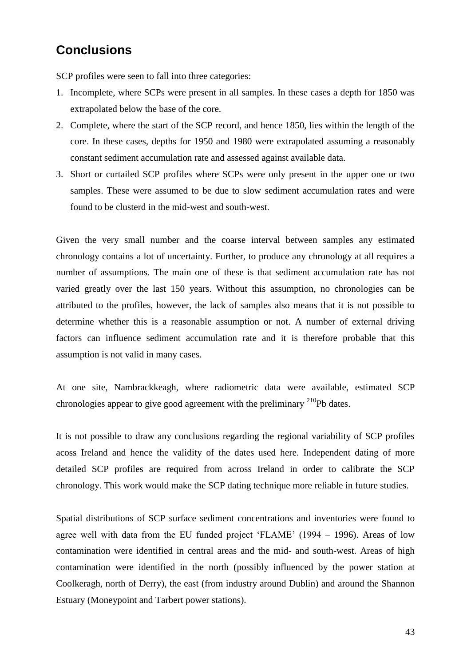### **Conclusions**

SCP profiles were seen to fall into three categories:

- 1. Incomplete, where SCPs were present in all samples. In these cases a depth for 1850 was extrapolated below the base of the core.
- 2. Complete, where the start of the SCP record, and hence 1850, lies within the length of the core. In these cases, depths for 1950 and 1980 were extrapolated assuming a reasonably constant sediment accumulation rate and assessed against available data.
- 3. Short or curtailed SCP profiles where SCPs were only present in the upper one or two samples. These were assumed to be due to slow sediment accumulation rates and were found to be clusterd in the mid-west and south-west.

Given the very small number and the coarse interval between samples any estimated chronology contains a lot of uncertainty. Further, to produce any chronology at all requires a number of assumptions. The main one of these is that sediment accumulation rate has not varied greatly over the last 150 years. Without this assumption, no chronologies can be attributed to the profiles, however, the lack of samples also means that it is not possible to determine whether this is a reasonable assumption or not. A number of external driving factors can influence sediment accumulation rate and it is therefore probable that this assumption is not valid in many cases.

At one site, Nambrackkeagh, where radiometric data were available, estimated SCP chronologies appear to give good agreement with the preliminary  $^{210}Pb$  dates.

It is not possible to draw any conclusions regarding the regional variability of SCP profiles acoss Ireland and hence the validity of the dates used here. Independent dating of more detailed SCP profiles are required from across Ireland in order to calibrate the SCP chronology. This work would make the SCP dating technique more reliable in future studies.

Spatial distributions of SCP surface sediment concentrations and inventories were found to agree well with data from the EU funded project 'FLAME' (1994 – 1996). Areas of low contamination were identified in central areas and the mid- and south-west. Areas of high contamination were identified in the north (possibly influenced by the power station at Coolkeragh, north of Derry), the east (from industry around Dublin) and around the Shannon Estuary (Moneypoint and Tarbert power stations).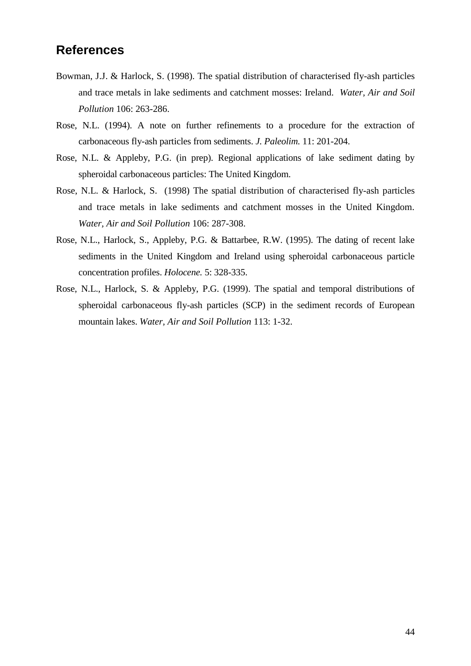### **References**

- Bowman, J.J. & Harlock, S. (1998). The spatial distribution of characterised fly-ash particles and trace metals in lake sediments and catchment mosses: Ireland. *Water, Air and Soil Pollution* 106: 263-286.
- Rose, N.L. (1994). A note on further refinements to a procedure for the extraction of carbonaceous fly-ash particles from sediments. *J. Paleolim.* 11: 201-204.
- Rose, N.L. & Appleby, P.G. (in prep). Regional applications of lake sediment dating by spheroidal carbonaceous particles: The United Kingdom.
- Rose, N.L. & Harlock, S. (1998) The spatial distribution of characterised fly-ash particles and trace metals in lake sediments and catchment mosses in the United Kingdom. *Water, Air and Soil Pollution* 106: 287-308.
- Rose, N.L., Harlock, S., Appleby, P.G. & Battarbee, R.W. (1995). The dating of recent lake sediments in the United Kingdom and Ireland using spheroidal carbonaceous particle concentration profiles. *Holocene.* 5: 328-335.
- Rose, N.L., Harlock, S. & Appleby, P.G. (1999). The spatial and temporal distributions of spheroidal carbonaceous fly-ash particles (SCP) in the sediment records of European mountain lakes. *Water, Air and Soil Pollution* 113: 1-32.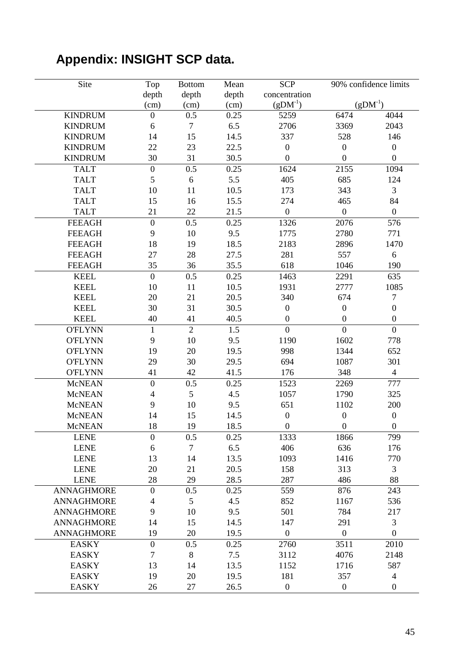# **Appendix: INSIGHT SCP data.**

| Site              | Top                      | <b>Bottom</b>  | Mean  | <b>SCP</b>       |                  | 90% confidence limits |
|-------------------|--------------------------|----------------|-------|------------------|------------------|-----------------------|
|                   | depth                    | depth          | depth | concentration    |                  |                       |
|                   | (cm)                     | (cm)           | (cm)  | $(gDM^{-1})$     |                  | $(gDM^{-1})$          |
| <b>KINDRUM</b>    | $\boldsymbol{0}$         | 0.5            | 0.25  | 5259             | 6474             | 4044                  |
| <b>KINDRUM</b>    | 6                        | $\overline{7}$ | 6.5   | 2706             | 3369             | 2043                  |
| <b>KINDRUM</b>    | 14                       | 15             | 14.5  | 337              | 528              | 146                   |
| <b>KINDRUM</b>    | 22                       | 23             | 22.5  | $\boldsymbol{0}$ | $\boldsymbol{0}$ | $\boldsymbol{0}$      |
| <b>KINDRUM</b>    | 30                       | 31             | 30.5  | $\overline{0}$   | $\boldsymbol{0}$ | $\boldsymbol{0}$      |
| <b>TALT</b>       | $\overline{0}$           | 0.5            | 0.25  | 1624             | 2155             | 1094                  |
| <b>TALT</b>       | 5                        | $\sqrt{6}$     | 5.5   | 405              | 685              | 124                   |
| <b>TALT</b>       | 10                       | 11             | 10.5  | 173              | 343              | 3                     |
| <b>TALT</b>       | 15                       | 16             | 15.5  | 274              | 465              | 84                    |
| <b>TALT</b>       | 21                       | 22             | 21.5  | $\boldsymbol{0}$ | $\boldsymbol{0}$ | $\boldsymbol{0}$      |
| <b>FEEAGH</b>     | $\boldsymbol{0}$         | 0.5            | 0.25  | 1326             | 2076             | 576                   |
| <b>FEEAGH</b>     | 9                        | 10             | 9.5   | 1775             | 2780             | 771                   |
| <b>FEEAGH</b>     | 18                       | 19             | 18.5  | 2183             | 2896             | 1470                  |
| <b>FEEAGH</b>     | 27                       | 28             | 27.5  | 281              | 557              | 6                     |
| <b>FEEAGH</b>     | 35                       | 36             | 35.5  | 618              | 1046             | 190                   |
| <b>KEEL</b>       | $\overline{0}$           | 0.5            | 0.25  | 1463             | 2291             | 635                   |
| <b>KEEL</b>       | 10                       | 11             | 10.5  | 1931             | 2777             | 1085                  |
| <b>KEEL</b>       | 20                       | 21             | 20.5  | 340              | 674              | $\boldsymbol{7}$      |
| <b>KEEL</b>       | 30                       | 31             | 30.5  | $\boldsymbol{0}$ | $\boldsymbol{0}$ | $\boldsymbol{0}$      |
| <b>KEEL</b>       | 40                       | 41             | 40.5  | $\boldsymbol{0}$ | $\boldsymbol{0}$ | $\boldsymbol{0}$      |
| <b>O'FLYNN</b>    | $\mathbf{1}$             | $\overline{2}$ | 1.5   | $\overline{0}$   | $\overline{0}$   | $\mathbf{0}$          |
| <b>O'FLYNN</b>    | 9                        | 10             | 9.5   | 1190             | 1602             | 778                   |
| <b>O'FLYNN</b>    | 19                       | 20             | 19.5  | 998              | 1344             | 652                   |
| <b>O'FLYNN</b>    | 29                       | 30             | 29.5  | 694              | 1087             | 301                   |
| <b>O'FLYNN</b>    | 41                       | 42             | 41.5  | 176              | 348              | $\overline{4}$        |
| <b>McNEAN</b>     | $\overline{0}$           | 0.5            | 0.25  | 1523             | 2269             | 777                   |
| <b>McNEAN</b>     | $\overline{4}$           | 5              | 4.5   | 1057             | 1790             | 325                   |
| <b>McNEAN</b>     | 9                        | 10             | 9.5   | 651              | 1102             | 200                   |
| <b>McNEAN</b>     | 14                       | 15             | 14.5  | $\boldsymbol{0}$ | $\boldsymbol{0}$ | $\boldsymbol{0}$      |
| <b>McNEAN</b>     | 18                       | 19             | 18.5  | $\boldsymbol{0}$ | $\boldsymbol{0}$ | $\boldsymbol{0}$      |
| <b>LENE</b>       | $\boldsymbol{0}$         | 0.5            | 0.25  | 1333             | 1866             | 799                   |
| <b>LENE</b>       | 6                        | $\tau$         | 6.5   | 406              | 636              | 176                   |
| <b>LENE</b>       | 13                       | 14             | 13.5  | 1093             | 1416             | 770                   |
| <b>LENE</b>       | 20                       | 21             | 20.5  | 158              | 313              | 3                     |
| <b>LENE</b>       | 28                       | 29             | 28.5  | 287              | 486              | 88                    |
| <b>ANNAGHMORE</b> | $\boldsymbol{0}$         | 0.5            | 0.25  | 559              | 876              | 243                   |
| <b>ANNAGHMORE</b> | $\overline{\mathcal{A}}$ | 5              | 4.5   | 852              | 1167             | 536                   |
| <b>ANNAGHMORE</b> | 9                        | 10             | 9.5   | 501              | 784              | 217                   |
| <b>ANNAGHMORE</b> | 14                       | 15             | 14.5  | 147              | 291              | 3                     |
| <b>ANNAGHMORE</b> | 19                       | 20             | 19.5  | $\boldsymbol{0}$ | $\boldsymbol{0}$ | $\boldsymbol{0}$      |
| <b>EASKY</b>      | $\overline{0}$           | 0.5            | 0.25  | 2760             | 3511             | 2010                  |
| <b>EASKY</b>      | $\overline{7}$           | 8              | 7.5   | 3112             | 4076             | 2148                  |
| <b>EASKY</b>      | 13                       | 14             | 13.5  | 1152             | 1716             | 587                   |
| <b>EASKY</b>      | 19                       | 20             | 19.5  | 181              | 357              | $\overline{4}$        |
| <b>EASKY</b>      | 26                       | $27\,$         | 26.5  | $\boldsymbol{0}$ | $\boldsymbol{0}$ | $\boldsymbol{0}$      |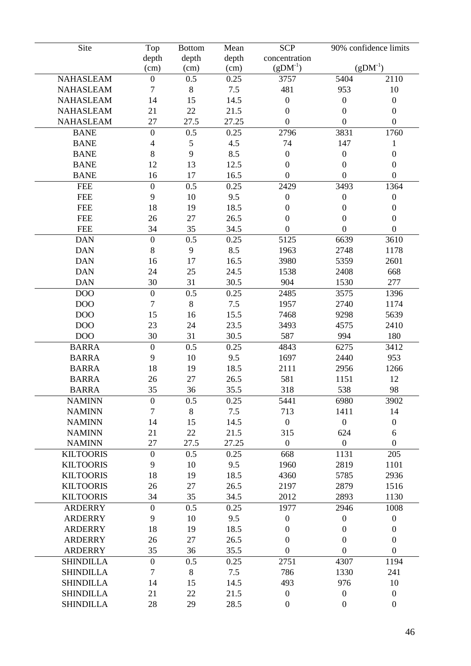| Site             |                  | <b>Bottom</b>  | Mean  | <b>SCP</b>                    |                  | 90% confidence limits |
|------------------|------------------|----------------|-------|-------------------------------|------------------|-----------------------|
|                  | Top              |                |       |                               |                  |                       |
|                  | depth            | depth          | depth | concentration<br>$(gDM^{-1})$ |                  | $(gDM^{-1})$          |
|                  | (cm)             | (cm)           | (cm)  |                               |                  |                       |
| <b>NAHASLEAM</b> | $\boldsymbol{0}$ | 0.5            | 0.25  | 3757                          | 5404             | 2110                  |
| <b>NAHASLEAM</b> | 7                | 8              | 7.5   | 481                           | 953              | 10                    |
| <b>NAHASLEAM</b> | 14               | 15             | 14.5  | $\boldsymbol{0}$              | $\boldsymbol{0}$ | $\boldsymbol{0}$      |
| <b>NAHASLEAM</b> | 21               | 22             | 21.5  | $\boldsymbol{0}$              | $\boldsymbol{0}$ | $\boldsymbol{0}$      |
| <b>NAHASLEAM</b> | 27               | 27.5           | 27.25 | $\boldsymbol{0}$              | $\boldsymbol{0}$ | $\mathbf{0}$          |
| <b>BANE</b>      | $\overline{0}$   | 0.5            | 0.25  | 2796                          | 3831             | 1760                  |
| <b>BANE</b>      | $\overline{4}$   | $\mathfrak{S}$ | 4.5   | 74                            | 147              | $\mathbf{1}$          |
| <b>BANE</b>      | $8\,$            | 9              | 8.5   | $\boldsymbol{0}$              | $\boldsymbol{0}$ | $\boldsymbol{0}$      |
| <b>BANE</b>      | 12               | 13             | 12.5  | $\boldsymbol{0}$              | $\boldsymbol{0}$ | $\boldsymbol{0}$      |
| <b>BANE</b>      | 16               | 17             | 16.5  | $\boldsymbol{0}$              | $\boldsymbol{0}$ | $\boldsymbol{0}$      |
| <b>FEE</b>       | $\overline{0}$   | 0.5            | 0.25  | 2429                          | 3493             | 1364                  |
| <b>FEE</b>       | 9                | 10             | 9.5   | $\boldsymbol{0}$              | $\boldsymbol{0}$ | $\boldsymbol{0}$      |
| <b>FEE</b>       | 18               | 19             | 18.5  | $\boldsymbol{0}$              | $\boldsymbol{0}$ | $\boldsymbol{0}$      |
| <b>FEE</b>       | 26               | 27             | 26.5  | $\mathbf{0}$                  | $\boldsymbol{0}$ | $\boldsymbol{0}$      |
| <b>FEE</b>       | 34               | 35             | 34.5  | $\overline{0}$                | $\overline{0}$   | $\boldsymbol{0}$      |
| <b>DAN</b>       | $\overline{0}$   | 0.5            | 0.25  | 5125                          | 6639             | 3610                  |
| <b>DAN</b>       | $8\,$            | 9              | 8.5   | 1963                          | 2748             | 1178                  |
| <b>DAN</b>       | 16               | 17             | 16.5  | 3980                          | 5359             | 2601                  |
| <b>DAN</b>       | 24               | 25             | 24.5  | 1538                          | 2408             | 668                   |
| <b>DAN</b>       | 30               | 31             | 30.5  | 904                           | 1530             | 277                   |
| DO <sub>O</sub>  | $\overline{0}$   | 0.5            | 0.25  | 2485                          | 3575             | 1396                  |
| DO <sub>O</sub>  | $\overline{7}$   | $8\,$          | 7.5   | 1957                          | 2740             | 1174                  |
|                  |                  |                |       |                               |                  |                       |
| DO <sub>O</sub>  | 15               | 16             | 15.5  | 7468                          | 9298             | 5639                  |
| DO <sub>O</sub>  | 23               | 24             | 23.5  | 3493                          | 4575             | 2410                  |
| DO <sub>O</sub>  | 30               | 31             | 30.5  | 587                           | 994              | 180                   |
| <b>BARRA</b>     | $\overline{0}$   | 0.5            | 0.25  | 4843                          | 6275             | 3412                  |
| <b>BARRA</b>     | 9                | 10             | 9.5   | 1697                          | 2440             | 953                   |
| <b>BARRA</b>     | 18               | 19             | 18.5  | 2111                          | 2956             | 1266                  |
| <b>BARRA</b>     | 26               | 27             | 26.5  | 581                           | 1151             | 12                    |
| <b>BARRA</b>     | 35               | 36             | 35.5  | 318                           | 538              | 98                    |
| <b>NAMINN</b>    | $\boldsymbol{0}$ | 0.5            | 0.25  | 5441                          | 6980             | 3902                  |
| <b>NAMINN</b>    | $\overline{7}$   | $8\,$          | 7.5   | 713                           | 1411             | 14                    |
| <b>NAMINN</b>    | 14               | 15             | 14.5  | $\boldsymbol{0}$              | $\boldsymbol{0}$ | $\boldsymbol{0}$      |
| <b>NAMINN</b>    | 21               | 22             | 21.5  | 315                           | 624              | 6                     |
| <b>NAMINN</b>    | 27               | 27.5           | 27.25 | $\boldsymbol{0}$              | $\boldsymbol{0}$ | $\boldsymbol{0}$      |
| <b>KILTOORIS</b> | $\boldsymbol{0}$ | 0.5            | 0.25  | 668                           | 1131             | 205                   |
| <b>KILTOORIS</b> | 9                | 10             | 9.5   | 1960                          | 2819             | 1101                  |
| <b>KILTOORIS</b> | 18               | 19             | 18.5  | 4360                          | 5785             | 2936                  |
| <b>KILTOORIS</b> | 26               | 27             | 26.5  | 2197                          | 2879             | 1516                  |
| <b>KILTOORIS</b> | 34               | 35             | 34.5  | 2012                          | 2893             | 1130                  |
| <b>ARDERRY</b>   | $\overline{0}$   | 0.5            | 0.25  | 1977                          | 2946             | 1008                  |
| <b>ARDERRY</b>   | 9                | 10             | 9.5   | $\boldsymbol{0}$              | $\boldsymbol{0}$ | $\boldsymbol{0}$      |
| <b>ARDERRY</b>   | 18               | 19             | 18.5  | $\overline{0}$                | $\boldsymbol{0}$ | $\boldsymbol{0}$      |
| <b>ARDERRY</b>   | 26               | 27             | 26.5  | $\boldsymbol{0}$              | $\boldsymbol{0}$ | $\boldsymbol{0}$      |
| <b>ARDERRY</b>   | 35               | 36             | 35.5  | $\boldsymbol{0}$              | $\boldsymbol{0}$ | $\boldsymbol{0}$      |
| <b>SHINDILLA</b> | $\overline{0}$   | 0.5            | 0.25  | 2751                          | 4307             | 1194                  |
| <b>SHINDILLA</b> | $\tau$           | $\,8\,$        | 7.5   | 786                           | 1330             | 241                   |
| <b>SHINDILLA</b> | 14               | 15             | 14.5  | 493                           | 976              | 10                    |
|                  |                  |                |       | $\boldsymbol{0}$              |                  |                       |
| <b>SHINDILLA</b> | 21               | 22             | 21.5  |                               | $\boldsymbol{0}$ | $\boldsymbol{0}$      |
| <b>SHINDILLA</b> | 28               | 29             | 28.5  | $\boldsymbol{0}$              | $\boldsymbol{0}$ | $\boldsymbol{0}$      |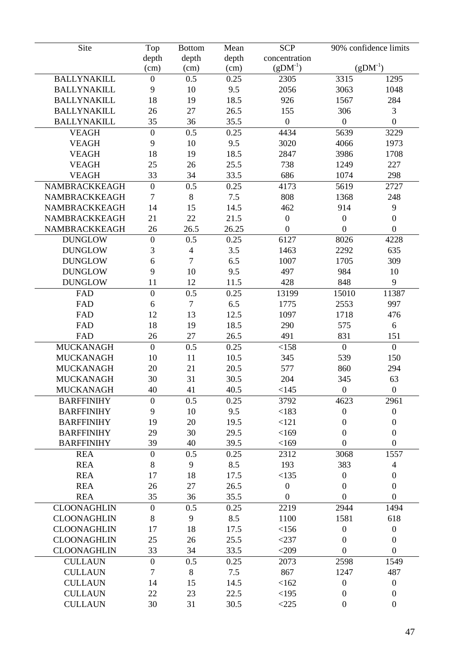| Site               | Top              | <b>Bottom</b>  | Mean  | <b>SCP</b>       |                  | 90% confidence limits |
|--------------------|------------------|----------------|-------|------------------|------------------|-----------------------|
|                    | depth            | depth          | depth | concentration    |                  |                       |
|                    | (cm)             | (cm)           | (cm)  | $(gDM^{-1})$     |                  | $(gDM^{-1})$          |
| <b>BALLYNAKILL</b> | $\boldsymbol{0}$ | 0.5            | 0.25  | 2305             | 3315             | 1295                  |
| <b>BALLYNAKILL</b> | 9                | 10             | 9.5   | 2056             | 3063             | 1048                  |
| <b>BALLYNAKILL</b> | 18               | 19             | 18.5  | 926              | 1567             | 284                   |
| <b>BALLYNAKILL</b> | 26               | 27             | 26.5  | 155              | 306              | 3                     |
| <b>BALLYNAKILL</b> | 35               | 36             | 35.5  | $\overline{0}$   | $\mathbf{0}$     | $\mathbf{0}$          |
| <b>VEAGH</b>       | $\mathbf{0}$     | 0.5            | 0.25  | 4434             | 5639             | 3229                  |
| <b>VEAGH</b>       | 9                | 10             | 9.5   | 3020             | 4066             | 1973                  |
| <b>VEAGH</b>       | 18               | 19             | 18.5  | 2847             | 3986             | 1708                  |
| <b>VEAGH</b>       | 25               | 26             | 25.5  | 738              | 1249             | 227                   |
| <b>VEAGH</b>       | 33               | 34             | 33.5  | 686              | 1074             | 298                   |
| NAMBRACKKEAGH      | $\mathbf{0}$     | 0.5            | 0.25  | 4173             | 5619             | 2727                  |
| NAMBRACKKEAGH      | 7                | 8              | 7.5   | 808              | 1368             | 248                   |
| NAMBRACKKEAGH      | 14               | 15             | 14.5  | 462              | 914              | 9                     |
| NAMBRACKKEAGH      | 21               | 22             | 21.5  | $\boldsymbol{0}$ | $\boldsymbol{0}$ | $\boldsymbol{0}$      |
| NAMBRACKKEAGH      | 26               | 26.5           | 26.25 | $\overline{0}$   | $\overline{0}$   | $\overline{0}$        |
| <b>DUNGLOW</b>     | $\mathbf{0}$     | 0.5            | 0.25  | 6127             | 8026             | 4228                  |
| <b>DUNGLOW</b>     | 3                | $\overline{4}$ | 3.5   | 1463             | 2292             | 635                   |
| <b>DUNGLOW</b>     | 6                | $\overline{7}$ | 6.5   | 1007             | 1705             | 309                   |
| <b>DUNGLOW</b>     | 9                | 10             | 9.5   | 497              | 984              | 10                    |
| <b>DUNGLOW</b>     | 11               | 12             | 11.5  | 428              | 848              | 9                     |
| FAD                | $\mathbf{0}$     | 0.5            | 0.25  | 13199            | 15010            | 11387                 |
| FAD                | 6                | $\tau$         | 6.5   | 1775             | 2553             | 997                   |
|                    | 12               | 13             | 12.5  |                  |                  |                       |
| FAD                |                  |                |       | 1097             | 1718             | 476                   |
| FAD                | 18               | 19             | 18.5  | 290              | 575              | 6                     |
| FAD                | 26               | 27             | 26.5  | 491              | 831              | 151                   |
| <b>MUCKANAGH</b>   | $\overline{0}$   | 0.5            | 0.25  | <158             | $\overline{0}$   | $\overline{0}$        |
| <b>MUCKANAGH</b>   | 10               | 11             | 10.5  | 345              | 539              | 150                   |
| <b>MUCKANAGH</b>   | 20               | 21             | 20.5  | 577              | 860              | 294                   |
| <b>MUCKANAGH</b>   | 30               | 31             | 30.5  | 204              | 345              | 63                    |
| <b>MUCKANAGH</b>   | 40               | 41             | 40.5  | <145             | $\mathbf{0}$     | $\boldsymbol{0}$      |
| <b>BARFFINIHY</b>  | $\overline{0}$   | 0.5            | 0.25  | 3792             | 4623             | 2961                  |
| <b>BARFFINIHY</b>  | 9                | 10             | 9.5   | < 183            | $\boldsymbol{0}$ | $\boldsymbol{0}$      |
| <b>BARFFINIHY</b>  | 19               | 20             | 19.5  | <121             | $\boldsymbol{0}$ | $\boldsymbol{0}$      |
| <b>BARFFINIHY</b>  | 29               | 30             | 29.5  | <169             | $\boldsymbol{0}$ | $\boldsymbol{0}$      |
| <b>BARFFINIHY</b>  | 39               | 40             | 39.5  | <169             | $\boldsymbol{0}$ | $\overline{0}$        |
| <b>REA</b>         | $\boldsymbol{0}$ | 0.5            | 0.25  | 2312             | 3068             | 1557                  |
| <b>REA</b>         | 8                | 9              | 8.5   | 193              | 383              | $\overline{4}$        |
| <b>REA</b>         | 17               | 18             | 17.5  | <135             | $\boldsymbol{0}$ | $\boldsymbol{0}$      |
| <b>REA</b>         | 26               | 27             | 26.5  | $\boldsymbol{0}$ | $\overline{0}$   | $\boldsymbol{0}$      |
| <b>REA</b>         | 35               | 36             | 35.5  | $\boldsymbol{0}$ | $\mathbf{0}$     | $\overline{0}$        |
| <b>CLOONAGHLIN</b> | $\overline{0}$   | 0.5            | 0.25  | 2219             | 2944             | 1494                  |
| <b>CLOONAGHLIN</b> | $8\,$            | 9              | 8.5   | 1100             | 1581             | 618                   |
| <b>CLOONAGHLIN</b> | 17               | 18             | 17.5  | <156             | $\boldsymbol{0}$ | $\boldsymbol{0}$      |
| <b>CLOONAGHLIN</b> | 25               | 26             | 25.5  | $<$ 237          | $\boldsymbol{0}$ | $\boldsymbol{0}$      |
| <b>CLOONAGHLIN</b> | 33               | 34             | 33.5  | < 209            | $\boldsymbol{0}$ | $\boldsymbol{0}$      |
| <b>CULLAUN</b>     | $\boldsymbol{0}$ | 0.5            | 0.25  | 2073             | 2598             | 1549                  |
| <b>CULLAUN</b>     | $\tau$           | 8              | 7.5   | 867              | 1247             | 487                   |
| <b>CULLAUN</b>     | 14               | 15             | 14.5  | <162             | $\boldsymbol{0}$ | $\overline{0}$        |
| <b>CULLAUN</b>     | 22               | 23             | 22.5  | <195             | $\boldsymbol{0}$ | $\boldsymbol{0}$      |
| <b>CULLAUN</b>     | 30               | 31             | 30.5  | $<$ 225          | $\boldsymbol{0}$ | $\boldsymbol{0}$      |
|                    |                  |                |       |                  |                  |                       |